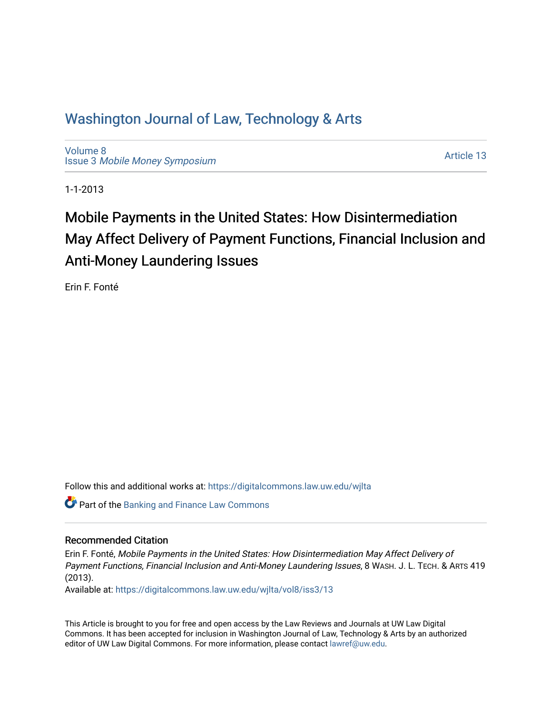# Washington Journal of Law, Technology & Arts

[Volume 8](https://digitalcommons.law.uw.edu/wjlta/vol8) Issue 3 [Mobile Money Symposium](https://digitalcommons.law.uw.edu/wjlta/vol8/iss3)

[Article 13](https://digitalcommons.law.uw.edu/wjlta/vol8/iss3/13) 

1-1-2013

# Mobile Payments in the United States: How Disintermediation May Affect Delivery of Payment Functions, Financial Inclusion and Anti-Money Laundering Issues

Erin F. Fonté

Follow this and additional works at: [https://digitalcommons.law.uw.edu/wjlta](https://digitalcommons.law.uw.edu/wjlta?utm_source=digitalcommons.law.uw.edu%2Fwjlta%2Fvol8%2Fiss3%2F13&utm_medium=PDF&utm_campaign=PDFCoverPages) 

**Part of the Banking and Finance Law Commons** 

# Recommended Citation

Erin F. Fonté, Mobile Payments in the United States: How Disintermediation May Affect Delivery of Payment Functions, Financial Inclusion and Anti-Money Laundering Issues, 8 WASH. J. L. TECH. & ARTS 419 (2013).

Available at: [https://digitalcommons.law.uw.edu/wjlta/vol8/iss3/13](https://digitalcommons.law.uw.edu/wjlta/vol8/iss3/13?utm_source=digitalcommons.law.uw.edu%2Fwjlta%2Fvol8%2Fiss3%2F13&utm_medium=PDF&utm_campaign=PDFCoverPages) 

This Article is brought to you for free and open access by the Law Reviews and Journals at UW Law Digital Commons. It has been accepted for inclusion in Washington Journal of Law, Technology & Arts by an authorized editor of UW Law Digital Commons. For more information, please contact [lawref@uw.edu](mailto:lawref@uw.edu).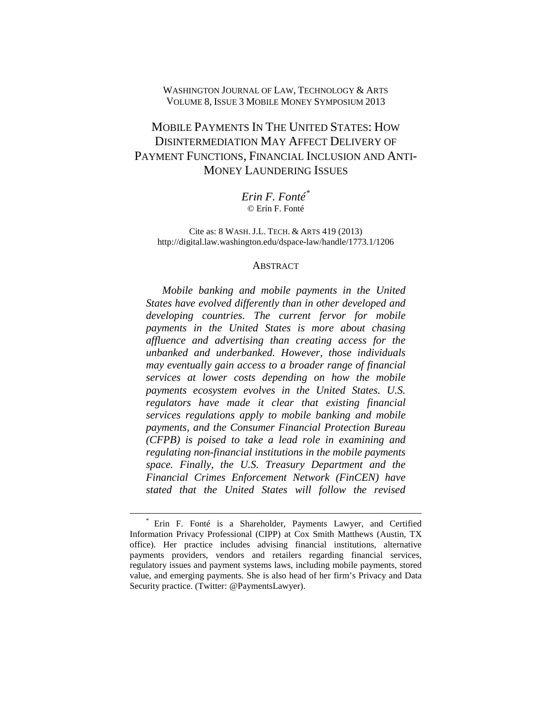## WASHINGTON JOURNAL OF LAW, TECHNOLOGY & ARTS VOLUME 8, ISSUE 3 MOBILE MONEY SYMPOSIUM 2013

# MOBILE PAYMENTS IN THE UNITED STATES: HOW DISINTERMEDIATION MAY AFFECT DELIVERY OF PAYMENT FUNCTIONS, FINANCIAL INCLUSION AND ANTI-MONEY LAUNDERING ISSUES

*Erin F. Fonté[\\*](#page-1-0)* © Erin F. Fonté

Cite as: 8 WASH. J.L. TECH. & ARTS 419 (2013) http://digital.law.washington.edu/dspace-law/handle/1773.1/1206

#### **ABSTRACT**

*Mobile banking and mobile payments in the United States have evolved differently than in other developed and developing countries. The current fervor for mobile payments in the United States is more about chasing affluence and advertising than creating access for the unbanked and underbanked. However, those individuals may eventually gain access to a broader range of financial services at lower costs depending on how the mobile payments ecosystem evolves in the United States. U.S. regulators have made it clear that existing financial services regulations apply to mobile banking and mobile payments, and the Consumer Financial Protection Bureau (CFPB) is poised to take a lead role in examining and regulating non-financial institutions in the mobile payments space. Finally, the U.S. Treasury Department and the Financial Crimes Enforcement Network (FinCEN) have stated that the United States will follow the revised* 

<span id="page-1-0"></span><sup>\*</sup> Erin F. Fonté is a Shareholder, Payments Lawyer, and Certified Information Privacy Professional (CIPP) at Cox Smith Matthews (Austin, TX office). Her practice includes advising financial institutions, alternative payments providers, vendors and retailers regarding financial services, regulatory issues and payment systems laws, including mobile payments, stored value, and emerging payments. She is also head of her firm's Privacy and Data Security practice. (Twitter: @PaymentsLawyer).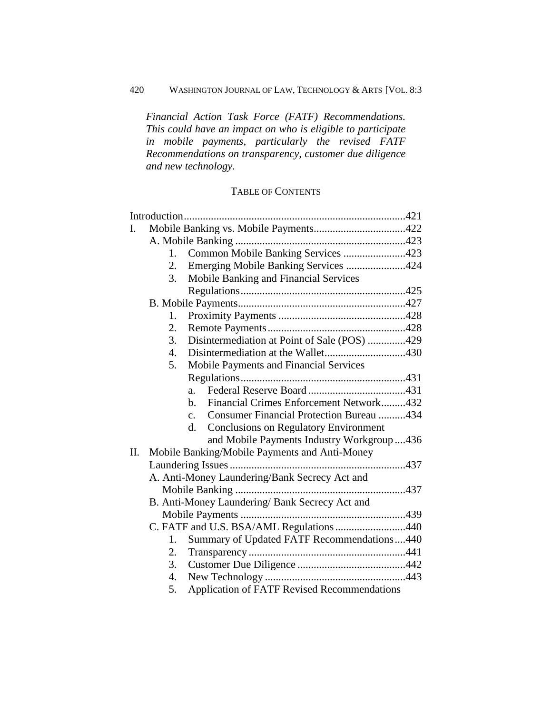# 420 WASHINGTON JOURNAL OF LAW, TECHNOLOGY & ARTS [VOL. 8:3

*Financial Action Task Force (FATF) Recommendations. This could have an impact on who is eligible to participate in mobile payments, particularly the revised FATF Recommendations on transparency, customer due diligence and new technology.* 

# TABLE OF CONTENTS

|     | Introduction                                  |                                                                   |  |  |  |
|-----|-----------------------------------------------|-------------------------------------------------------------------|--|--|--|
| I.  |                                               |                                                                   |  |  |  |
|     |                                               |                                                                   |  |  |  |
|     | 1.                                            | Common Mobile Banking Services 423                                |  |  |  |
|     | 2.                                            | Emerging Mobile Banking Services 424                              |  |  |  |
|     | 3.                                            | Mobile Banking and Financial Services                             |  |  |  |
|     |                                               |                                                                   |  |  |  |
|     |                                               |                                                                   |  |  |  |
|     | 1.                                            |                                                                   |  |  |  |
|     | 2.                                            |                                                                   |  |  |  |
|     | 3.                                            | Disintermediation at Point of Sale (POS) 429                      |  |  |  |
|     | 4.                                            | Disintermediation at the Wallet430                                |  |  |  |
|     | 5.                                            | Mobile Payments and Financial Services                            |  |  |  |
|     |                                               |                                                                   |  |  |  |
|     |                                               | a.                                                                |  |  |  |
|     |                                               | Financial Crimes Enforcement Network432<br>$h_{\cdot}$            |  |  |  |
|     |                                               | <b>Consumer Financial Protection Bureau 434</b><br>$\mathbf{c}$ . |  |  |  |
|     |                                               | <b>Conclusions on Regulatory Environment</b><br>d.                |  |  |  |
|     |                                               | and Mobile Payments Industry Workgroup436                         |  |  |  |
| II. |                                               | Mobile Banking/Mobile Payments and Anti-Money                     |  |  |  |
|     |                                               |                                                                   |  |  |  |
|     | A. Anti-Money Laundering/Bank Secrecy Act and |                                                                   |  |  |  |
|     |                                               |                                                                   |  |  |  |
|     |                                               | B. Anti-Money Laundering/ Bank Secrecy Act and                    |  |  |  |
|     |                                               |                                                                   |  |  |  |
|     |                                               | C. FATF and U.S. BSA/AML Regulations 440                          |  |  |  |
|     | 1.                                            | Summary of Updated FATF Recommendations440                        |  |  |  |
|     | 2.                                            |                                                                   |  |  |  |
|     | 3.                                            |                                                                   |  |  |  |
|     | 4.                                            |                                                                   |  |  |  |
|     | 5.                                            | <b>Application of FATF Revised Recommendations</b>                |  |  |  |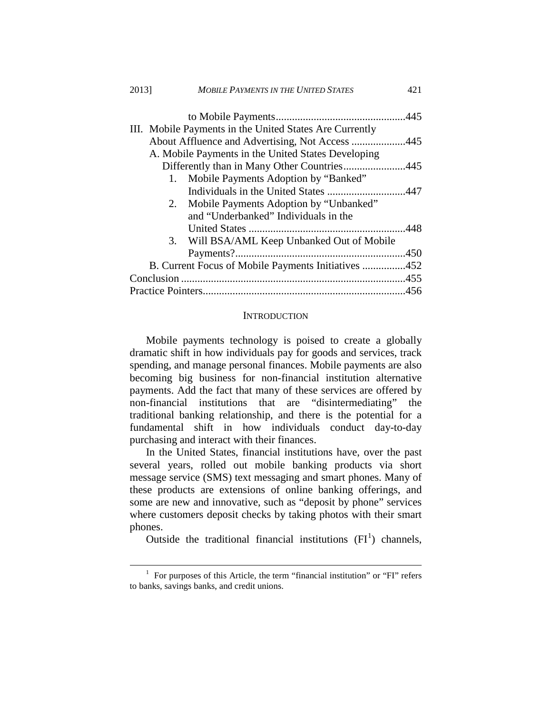| 2013] |    | <b>MOBILE PAYMENTS IN THE UNITED STATES</b>             | 421 |  |
|-------|----|---------------------------------------------------------|-----|--|
|       |    |                                                         |     |  |
|       |    | III. Mobile Payments in the United States Are Currently |     |  |
|       |    | About Affluence and Advertising, Not Access 445         |     |  |
|       |    | A. Mobile Payments in the United States Developing      |     |  |
|       |    | Differently than in Many Other Countries445             |     |  |
|       | 1. | Mobile Payments Adoption by "Banked"                    |     |  |
|       |    |                                                         |     |  |
|       |    | 2. Mobile Payments Adoption by "Unbanked"               |     |  |
|       |    | and "Underbanked" Individuals in the                    |     |  |
|       |    |                                                         |     |  |
|       | 3. | Will BSA/AML Keep Unbanked Out of Mobile                |     |  |
|       |    |                                                         |     |  |
|       |    | B. Current Focus of Mobile Payments Initiatives 452     |     |  |
|       |    |                                                         |     |  |
|       |    |                                                         |     |  |

#### **INTRODUCTION**

<span id="page-3-0"></span>Mobile payments technology is poised to create a globally dramatic shift in how individuals pay for goods and services, track spending, and manage personal finances. Mobile payments are also becoming big business for non-financial institution alternative payments. Add the fact that many of these services are offered by non-financial institutions that are "disintermediating" the traditional banking relationship, and there is the potential for a fundamental shift in how individuals conduct day-to-day purchasing and interact with their finances.

In the United States, financial institutions have, over the past several years, rolled out mobile banking products via short message service (SMS) text messaging and smart phones. Many of these products are extensions of online banking offerings, and some are new and innovative, such as "deposit by phone" services where customers deposit checks by taking photos with their smart phones.

Outside the traditional financial institutions  $(FI<sup>1</sup>)$  $(FI<sup>1</sup>)$  $(FI<sup>1</sup>)$  channels,

<span id="page-3-1"></span> $1$  For purposes of this Article, the term "financial institution" or "FI" refers to banks, savings banks, and credit unions.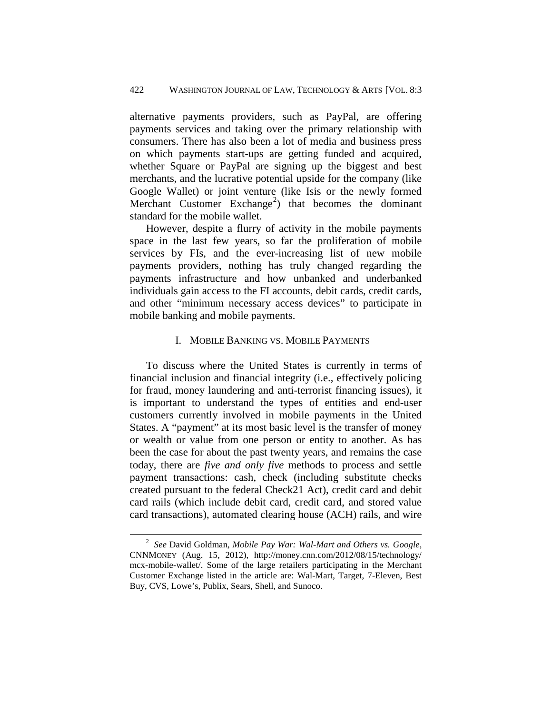alternative payments providers, such as PayPal, are offering payments services and taking over the primary relationship with consumers. There has also been a lot of media and business press on which payments start-ups are getting funded and acquired, whether Square or PayPal are signing up the biggest and best merchants, and the lucrative potential upside for the company (like Google Wallet) or joint venture (like Isis or the newly formed Merchant Customer Exchange<sup>[2](#page-4-1)</sup>) that becomes the dominant standard for the mobile wallet.

However, despite a flurry of activity in the mobile payments space in the last few years, so far the proliferation of mobile services by FIs, and the ever-increasing list of new mobile payments providers, nothing has truly changed regarding the payments infrastructure and how unbanked and underbanked individuals gain access to the FI accounts, debit cards, credit cards, and other "minimum necessary access devices" to participate in mobile banking and mobile payments.

#### I. MOBILE BANKING VS. MOBILE PAYMENTS

<span id="page-4-0"></span>To discuss where the United States is currently in terms of financial inclusion and financial integrity (i.e., effectively policing for fraud, money laundering and anti-terrorist financing issues), it is important to understand the types of entities and end-user customers currently involved in mobile payments in the United States. A "payment" at its most basic level is the transfer of money or wealth or value from one person or entity to another. As has been the case for about the past twenty years, and remains the case today, there are *five and only five* methods to process and settle payment transactions: cash, check (including substitute checks created pursuant to the federal Check21 Act), credit card and debit card rails (which include debit card, credit card, and stored value card transactions), automated clearing house (ACH) rails, and wire

<span id="page-4-1"></span><sup>2</sup> *See* David Goldman, *Mobile Pay War: Wal-Mart and Others vs. Google*, CNNMONEY (Aug. 15, 2012), http://money.cnn.com/2012/08/15/technology/ mcx-mobile-wallet/. Some of the large retailers participating in the Merchant Customer Exchange listed in the article are: Wal-Mart, Target, 7-Eleven, Best Buy, CVS, Lowe's, Publix, Sears, Shell, and Sunoco.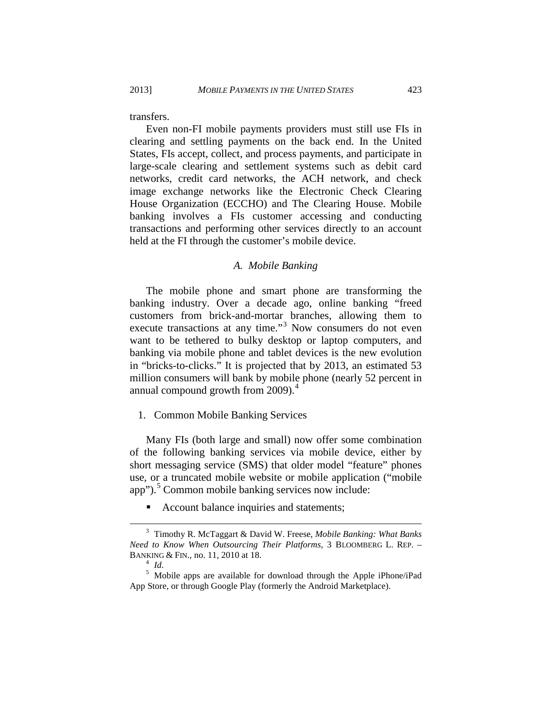transfers.

Even non-FI mobile payments providers must still use FIs in clearing and settling payments on the back end. In the United States, FIs accept, collect, and process payments, and participate in large-scale clearing and settlement systems such as debit card networks, credit card networks, the ACH network, and check image exchange networks like the Electronic Check Clearing House Organization (ECCHO) and The Clearing House. Mobile banking involves a FIs customer accessing and conducting transactions and performing other services directly to an account held at the FI through the customer's mobile device.

#### *A. Mobile Banking*

<span id="page-5-0"></span>The mobile phone and smart phone are transforming the banking industry. Over a decade ago, online banking "freed customers from brick-and-mortar branches, allowing them to execute transactions at any time."<sup>[3](#page-5-2)</sup> Now consumers do not even want to be tethered to bulky desktop or laptop computers, and banking via mobile phone and tablet devices is the new evolution in "bricks-to-clicks." It is projected that by 2013, an estimated 53 million consumers will bank by mobile phone (nearly 52 percent in annual compound growth from 2009).<sup>[4](#page-5-3)</sup>

<span id="page-5-1"></span>1. Common Mobile Banking Services

Many FIs (both large and small) now offer some combination of the following banking services via mobile device, either by short messaging service (SMS) that older model "feature" phones use, or a truncated mobile website or mobile application ("mobile app").<sup>[5](#page-5-4)</sup> Common mobile banking services now include:

Account balance inquiries and statements;

<span id="page-5-2"></span><sup>3</sup> Timothy R. McTaggart & David W. Freese, *Mobile Banking: What Banks Need to Know When Outsourcing Their Platforms*, 3 BLOOMBERG L. REP. – BANKING & FIN., no. 11, 2010 at 18.<br><sup>4</sup> *Id.* <sup>5</sup> Mobile apps are available for download through the Apple iPhone/iPad

<span id="page-5-4"></span><span id="page-5-3"></span>App Store, or through Google Play (formerly the Android Marketplace).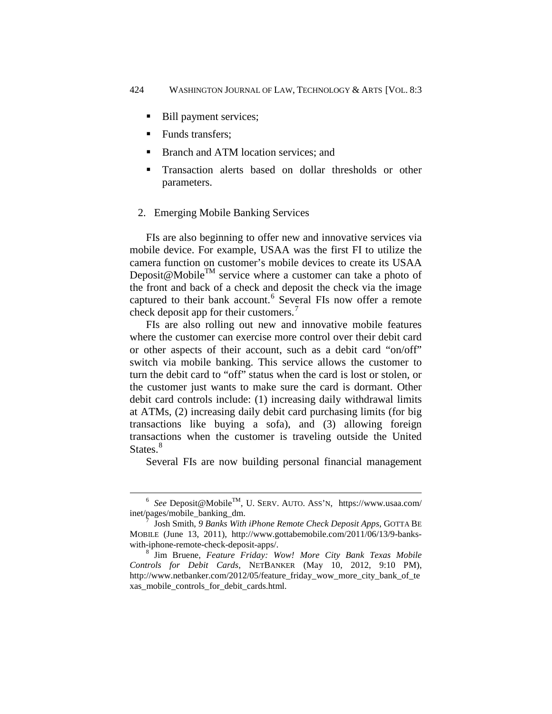- Bill payment services;
- Funds transfers;

 $\overline{a}$ 

- Branch and ATM location services; and
- Transaction alerts based on dollar thresholds or other parameters.

#### <span id="page-6-0"></span>2. Emerging Mobile Banking Services

FIs are also beginning to offer new and innovative services via mobile device. For example, USAA was the first FI to utilize the camera function on customer's mobile devices to create its USAA Deposit@Mobile<sup>TM</sup> service where a customer can take a photo of the front and back of a check and deposit the check via the image captured to their bank account.<sup>[6](#page-6-1)</sup> Several FIs now offer a remote check deposit app for their customers.<sup>[7](#page-6-2)</sup>

FIs are also rolling out new and innovative mobile features where the customer can exercise more control over their debit card or other aspects of their account, such as a debit card "on/off" switch via mobile banking. This service allows the customer to turn the debit card to "off" status when the card is lost or stolen, or the customer just wants to make sure the card is dormant. Other debit card controls include: (1) increasing daily withdrawal limits at ATMs, (2) increasing daily debit card purchasing limits (for big transactions like buying a sofa), and (3) allowing foreign transactions when the customer is traveling outside the United States.<sup>[8](#page-6-3)</sup>

Several FIs are now building personal financial management

<span id="page-6-1"></span><sup>6</sup> *See* Deposit@MobileTM, U. SERV. AUTO. ASS'N, https://www.usaa.com/ inet/pages/mobile\_banking\_dm. 7 Josh Smith, *9 Banks With iPhone Remote Check Deposit Apps*, GOTTA BE

<span id="page-6-2"></span>MOBILE (June 13, 2011), http://www.gottabemobile.com/2011/06/13/9-bankswith-iphone-remote-check-deposit-apps/. 8 Jim Bruene, *Feature Friday: Wow! More City Bank Texas Mobile* 

<span id="page-6-3"></span>*Controls for Debit Cards*, NETBANKER (May 10, 2012, 9:10 PM), http://www.netbanker.com/2012/05/feature\_friday\_wow\_more\_city\_bank\_of\_te xas\_mobile\_controls\_for\_debit\_cards.html.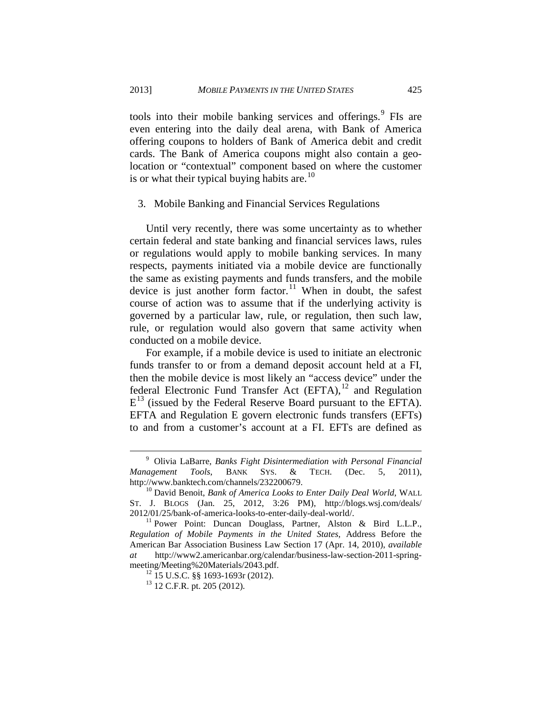tools into their mobile banking services and offerings.<sup>[9](#page-7-1)</sup> FIs are even entering into the daily deal arena, with Bank of America offering coupons to holders of Bank of America debit and credit cards. The Bank of America coupons might also contain a geolocation or "contextual" component based on where the customer is or what their typical buying habits are.<sup>[10](#page-7-2)</sup>

#### <span id="page-7-0"></span>3. Mobile Banking and Financial Services Regulations

Until very recently, there was some uncertainty as to whether certain federal and state banking and financial services laws, rules or regulations would apply to mobile banking services. In many respects, payments initiated via a mobile device are functionally the same as existing payments and funds transfers, and the mobile device is just another form factor.<sup>[11](#page-7-3)</sup> When in doubt, the safest course of action was to assume that if the underlying activity is governed by a particular law, rule, or regulation, then such law, rule, or regulation would also govern that same activity when conducted on a mobile device.

For example, if a mobile device is used to initiate an electronic funds transfer to or from a demand deposit account held at a FI, then the mobile device is most likely an "access device" under the federal Electronic Fund Transfer Act  $(EFTA)$ ,<sup>[12](#page-7-4)</sup> and Regulation  $E^{13}$  (issued by the Federal Reserve Board pursuant to the EFTA). EFTA and Regulation E govern electronic funds transfers (EFTs) to and from a customer's account at a FI. EFTs are defined as

<span id="page-7-1"></span><sup>9</sup> Olivia LaBarre, *Banks Fight Disintermediation with Personal Financial Management Tools*, BANK SYS. & TECH. (Dec. 5, 2011), http://www.banktech.com/channels/232200679. 10 David Benoit, *Bank of America Looks to Enter Daily Deal World*, WALL

<span id="page-7-2"></span>ST. J. BLOGS (Jan. 25, 2012, 3:26 PM), http://blogs.wsj.com/deals/ 2012/01/25/bank-of-america-looks-to-enter-daily-deal-world/. 11 Power Point: Duncan Douglass, Partner, Alston & Bird L.L.P.,

<span id="page-7-5"></span><span id="page-7-4"></span><span id="page-7-3"></span>*Regulation of Mobile Payments in the United States*, Address Before the American Bar Association Business Law Section 17 (Apr. 14, 2010), *available at* http://www2.americanbar.org/calendar/business-law-section-2011-spring-

<sup>&</sup>lt;sup>12</sup> 15 U.S.C. §§ 1693-1693r (2012).<br><sup>13</sup> 12 C.F.R. pt. 205 (2012).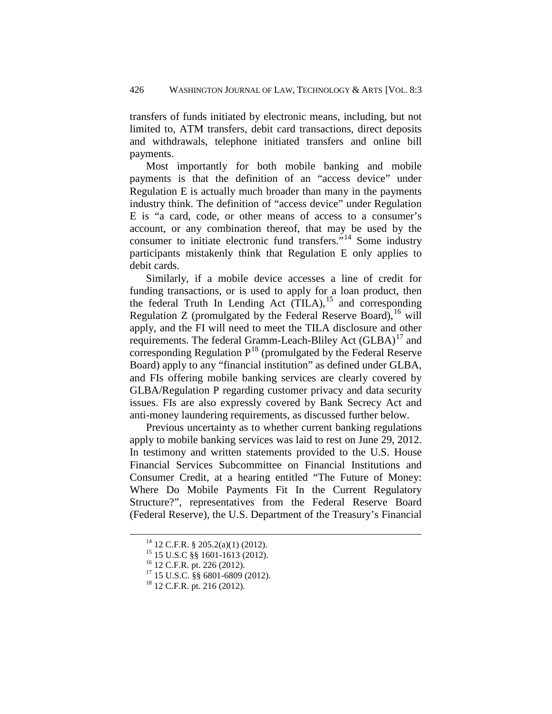transfers of funds initiated by electronic means, including, but not limited to, ATM transfers, debit card transactions, direct deposits and withdrawals, telephone initiated transfers and online bill payments.

Most importantly for both mobile banking and mobile payments is that the definition of an "access device" under Regulation E is actually much broader than many in the payments industry think. The definition of "access device" under Regulation E is "a card, code, or other means of access to a consumer's account, or any combination thereof, that may be used by the consumer to initiate electronic fund transfers."[14](#page-8-0) Some industry participants mistakenly think that Regulation E only applies to debit cards.

Similarly, if a mobile device accesses a line of credit for funding transactions, or is used to apply for a loan product, then the federal Truth In Lending Act  $(TILA)$ ,<sup>[15](#page-8-1)</sup> and corresponding Regulation Z (promulgated by the Federal Reserve Board),  $^{16}$  $^{16}$  $^{16}$  will apply, and the FI will need to meet the TILA disclosure and other requirements. The federal Gramm-Leach-Bliley Act (GLBA)<sup>[17](#page-8-3)</sup> and corresponding Regulation  $P^{18}$  (promulgated by the Federal Reserve Board) apply to any "financial institution" as defined under GLBA, and FIs offering mobile banking services are clearly covered by GLBA/Regulation P regarding customer privacy and data security issues. FIs are also expressly covered by Bank Secrecy Act and anti-money laundering requirements, as discussed further below.

Previous uncertainty as to whether current banking regulations apply to mobile banking services was laid to rest on June 29, 2012. In testimony and written statements provided to the U.S. House Financial Services Subcommittee on Financial Institutions and Consumer Credit, at a hearing entitled "The Future of Money: Where Do Mobile Payments Fit In the Current Regulatory Structure?", representatives from the Federal Reserve Board (Federal Reserve), the U.S. Department of the Treasury's Financial

<span id="page-8-4"></span><span id="page-8-3"></span>

<span id="page-8-2"></span><span id="page-8-1"></span><span id="page-8-0"></span><sup>&</sup>lt;sup>14</sup> 12 C.F.R. § 205.2(a)(1) (2012).<br><sup>15</sup> 15 U.S.C §§ 1601-1613 (2012).<br><sup>16</sup> 12 C.F.R. pt. 226 (2012).<br><sup>17</sup> 15 U.S.C. §§ 6801-6809 (2012).<br><sup>18</sup> 12 C.F.R. pt. 216 (2012).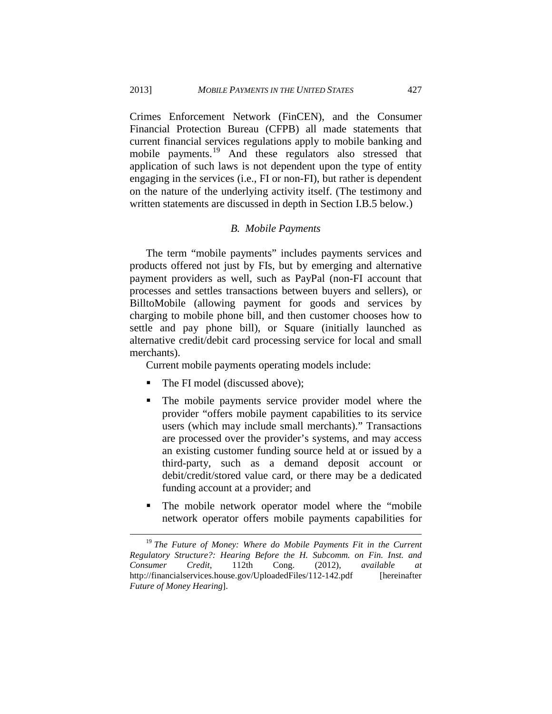Crimes Enforcement Network (FinCEN), and the Consumer Financial Protection Bureau (CFPB) all made statements that current financial services regulations apply to mobile banking and mobile payments.<sup>[19](#page-9-1)</sup> And these regulators also stressed that application of such laws is not dependent upon the type of entity engaging in the services (i.e., FI or non-FI), but rather is dependent on the nature of the underlying activity itself. (The testimony and written statements are discussed in depth in Section I.B.5 below.)

#### *B. Mobile Payments*

<span id="page-9-0"></span>The term "mobile payments" includes payments services and products offered not just by FIs, but by emerging and alternative payment providers as well, such as PayPal (non-FI account that processes and settles transactions between buyers and sellers), or BilltoMobile (allowing payment for goods and services by charging to mobile phone bill, and then customer chooses how to settle and pay phone bill), or Square (initially launched as alternative credit/debit card processing service for local and small merchants).

Current mobile payments operating models include:

- The FI model (discussed above);
- The mobile payments service provider model where the provider "offers mobile payment capabilities to its service users (which may include small merchants)." Transactions are processed over the provider's systems, and may access an existing customer funding source held at or issued by a third-party, such as a demand deposit account or debit/credit/stored value card, or there may be a dedicated funding account at a provider; and
- The mobile network operator model where the "mobile network operator offers mobile payments capabilities for

<span id="page-9-1"></span><sup>&</sup>lt;sup>19</sup> The Future of Money: Where do Mobile Payments Fit in the Current *Regulatory Structure?: Hearing Before the H. Subcomm. on Fin. Inst. and Consumer Credit*, 112th Cong. (2012), *available at* http://financialservices.house.gov/UploadedFiles/112-142.pdf [hereinafter *Future of Money Hearing*].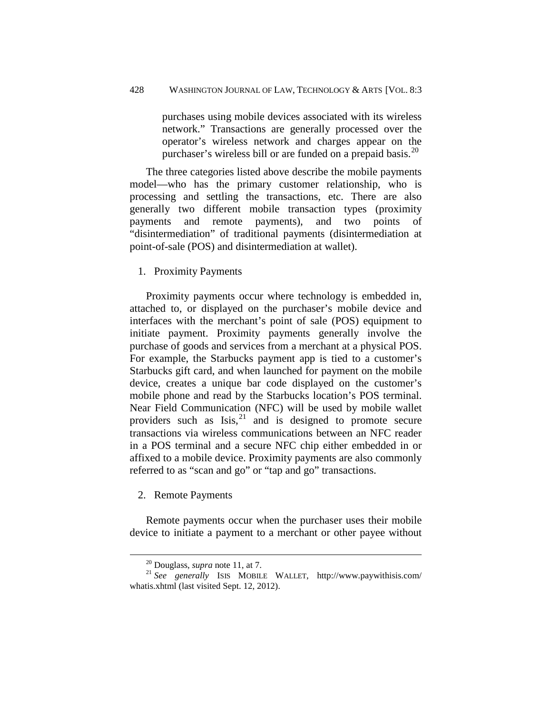purchases using mobile devices associated with its wireless network." Transactions are generally processed over the operator's wireless network and charges appear on the purchaser's wireless bill or are funded on a prepaid basis.<sup>[20](#page-10-2)</sup>

The three categories listed above describe the mobile payments model—who has the primary customer relationship, who is processing and settling the transactions, etc. There are also generally two different mobile transaction types (proximity payments and remote payments), and two points "disintermediation" of traditional payments (disintermediation at point-of-sale (POS) and disintermediation at wallet).

#### <span id="page-10-0"></span>1. Proximity Payments

Proximity payments occur where technology is embedded in, attached to, or displayed on the purchaser's mobile device and interfaces with the merchant's point of sale (POS) equipment to initiate payment. Proximity payments generally involve the purchase of goods and services from a merchant at a physical POS. For example, the Starbucks payment app is tied to a customer's Starbucks gift card, and when launched for payment on the mobile device, creates a unique bar code displayed on the customer's mobile phone and read by the Starbucks location's POS terminal. Near Field Communication (NFC) will be used by mobile wallet providers such as  $Isis, <sup>21</sup>$  $Isis, <sup>21</sup>$  $Isis, <sup>21</sup>$  and is designed to promote secure transactions via wireless communications between an NFC reader in a POS terminal and a secure NFC chip either embedded in or affixed to a mobile device. Proximity payments are also commonly referred to as "scan and go" or "tap and go" transactions.

<span id="page-10-1"></span>2. Remote Payments

 $\overline{a}$ 

Remote payments occur when the purchaser uses their mobile device to initiate a payment to a merchant or other payee without

<span id="page-10-3"></span><span id="page-10-2"></span><sup>&</sup>lt;sup>20</sup> Douglass, *supra* note 11, at 7.<br><sup>21</sup> *See generally* ISIS MOBILE WALLET, http://www.paywithisis.com/ whatis.xhtml (last visited Sept. 12, 2012).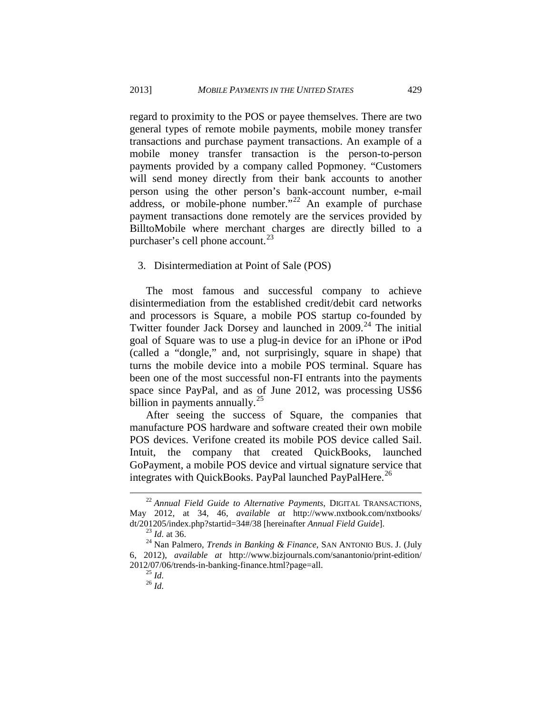regard to proximity to the POS or payee themselves. There are two general types of remote mobile payments, mobile money transfer transactions and purchase payment transactions. An example of a mobile money transfer transaction is the person-to-person payments provided by a company called Popmoney. "Customers will send money directly from their bank accounts to another person using the other person's bank-account number, e-mail address, or mobile-phone number."<sup>[22](#page-11-1)</sup> An example of purchase payment transactions done remotely are the services provided by BilltoMobile where merchant charges are directly billed to a purchaser's cell phone account. $^{23}$  $^{23}$  $^{23}$ 

#### <span id="page-11-0"></span>3. Disintermediation at Point of Sale (POS)

The most famous and successful company to achieve disintermediation from the established credit/debit card networks and processors is Square, a mobile POS startup co-founded by Twitter founder Jack Dorsey and launched in  $2009$ .<sup>[24](#page-11-3)</sup> The initial goal of Square was to use a plug-in device for an iPhone or iPod (called a "dongle," and, not surprisingly, square in shape) that turns the mobile device into a mobile POS terminal. Square has been one of the most successful non-FI entrants into the payments space since PayPal, and as of June 2012, was processing US\$6 billion in payments annually. $^{25}$  $^{25}$  $^{25}$ 

After seeing the success of Square, the companies that manufacture POS hardware and software created their own mobile POS devices. Verifone created its mobile POS device called Sail. Intuit, the company that created QuickBooks, launched GoPayment, a mobile POS device and virtual signature service that integrates with QuickBooks. PayPal launched PayPalHere.<sup>[26](#page-11-5)</sup>

<span id="page-11-1"></span><sup>22</sup> *Annual Field Guide to Alternative Payments*, DIGITAL TRANSACTIONS, May 2012, at 34, 46, *available at* http://www.nxtbook.com/nxtbooks/ dt/201205/index.php?startid=34#/38 [hereinafter *Annual Field Guide*].<br><sup>23</sup> *Id.* at 36. <sup>24</sup> Nan Palmero, *Trends in Banking & Finance*, SAN ANTONIO BUS. J. (July

<span id="page-11-5"></span><span id="page-11-4"></span><span id="page-11-3"></span><span id="page-11-2"></span><sup>6, 2012),</sup> *available at* http://www.bizjournals.com/sanantonio/print-edition/ 2012/07/06/trends-in-banking-finance.html?page=all. 25 *Id.* <sup>26</sup> *Id.*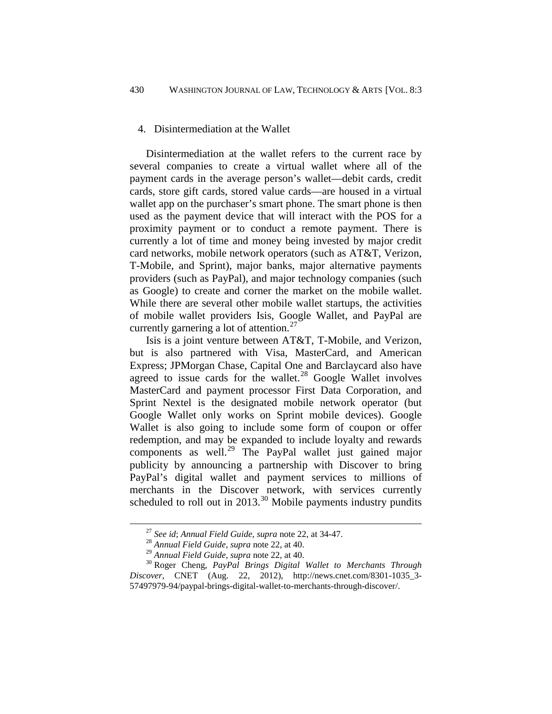#### <span id="page-12-0"></span>4. Disintermediation at the Wallet

Disintermediation at the wallet refers to the current race by several companies to create a virtual wallet where all of the payment cards in the average person's wallet—debit cards, credit cards, store gift cards, stored value cards—are housed in a virtual wallet app on the purchaser's smart phone. The smart phone is then used as the payment device that will interact with the POS for a proximity payment or to conduct a remote payment. There is currently a lot of time and money being invested by major credit card networks, mobile network operators (such as AT&T, Verizon, T-Mobile, and Sprint), major banks, major alternative payments providers (such as PayPal), and major technology companies (such as Google) to create and corner the market on the mobile wallet. While there are several other mobile wallet startups, the activities of mobile wallet providers Isis, Google Wallet, and PayPal are currently garnering a lot of attention. $27$ 

Isis is a joint venture between AT&T, T-Mobile, and Verizon, but is also partnered with Visa, MasterCard, and American Express; JPMorgan Chase, Capital One and Barclaycard also have agreed to issue cards for the wallet.<sup>[28](#page-12-2)</sup> Google Wallet involves MasterCard and payment processor First Data Corporation, and Sprint Nextel is the designated mobile network operator (but Google Wallet only works on Sprint mobile devices). Google Wallet is also going to include some form of coupon or offer redemption, and may be expanded to include loyalty and rewards components as well.[29](#page-12-3) The PayPal wallet just gained major publicity by announcing a partnership with Discover to bring PayPal's digital wallet and payment services to millions of merchants in the Discover network, with services currently scheduled to roll out in  $2013$ .<sup>[30](#page-12-4)</sup> Mobile payments industry pundits

<sup>27</sup> *See id*; *Annual Field Guide*, *supra* note 22, at 34-47. <sup>28</sup> *Annual Field Guide*, *supra* note 22, at 40.

<span id="page-12-4"></span><span id="page-12-3"></span><span id="page-12-2"></span><span id="page-12-1"></span><sup>&</sup>lt;sup>30</sup> Roger Cheng, PayPal Brings Digital Wallet to Merchants Through *Discover*, CNET (Aug. 22, 2012), http://news.cnet.com/8301-1035\_3- 57497979-94/paypal-brings-digital-wallet-to-merchants-through-discover/.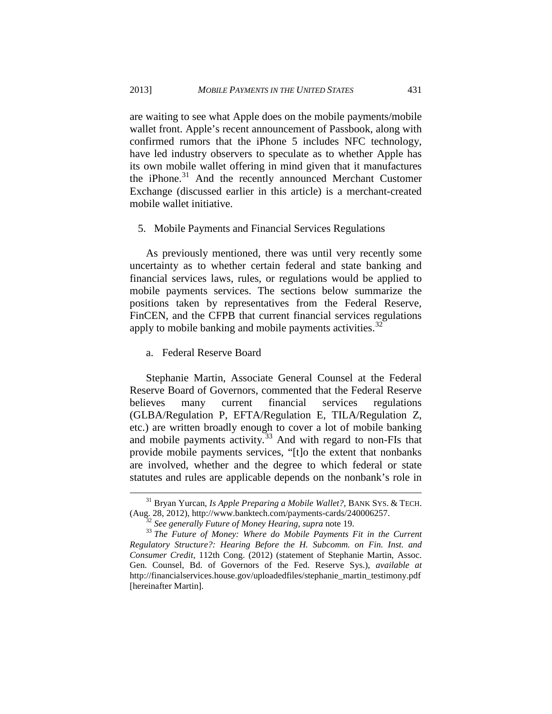are waiting to see what Apple does on the mobile payments/mobile wallet front. Apple's recent announcement of Passbook, along with confirmed rumors that the iPhone 5 includes NFC technology, have led industry observers to speculate as to whether Apple has its own mobile wallet offering in mind given that it manufactures the iPhone.<sup>[31](#page-13-2)</sup> And the recently announced Merchant Customer Exchange (discussed earlier in this article) is a merchant-created mobile wallet initiative.

#### <span id="page-13-0"></span>5. Mobile Payments and Financial Services Regulations

As previously mentioned, there was until very recently some uncertainty as to whether certain federal and state banking and financial services laws, rules, or regulations would be applied to mobile payments services. The sections below summarize the positions taken by representatives from the Federal Reserve, FinCEN, and the CFPB that current financial services regulations apply to mobile banking and mobile payments activities.  $32$ 

#### <span id="page-13-1"></span>a. Federal Reserve Board

Stephanie Martin, Associate General Counsel at the Federal Reserve Board of Governors, commented that the Federal Reserve believes many current financial services regulations (GLBA/Regulation P, EFTA/Regulation E, TILA/Regulation Z, etc.) are written broadly enough to cover a lot of mobile banking and mobile payments activity.<sup>[33](#page-13-4)</sup> And with regard to non-FIs that provide mobile payments services, "[t]o the extent that nonbanks are involved, whether and the degree to which federal or state statutes and rules are applicable depends on the nonbank's role in

<span id="page-13-2"></span><sup>&</sup>lt;sup>31</sup> Bryan Yurcan, *Is Apple Preparing a Mobile Wallet?*, BANK SYS. & TECH. (Aug. 28, 2012), http://www.banktech.com/payments-cards/240006257.

<span id="page-13-4"></span><span id="page-13-3"></span><sup>&</sup>lt;sup>32</sup> See generally Future of Money Hearing, supra note 19.<br><sup>33</sup> The Future of Money: Where do Mobile Payments Fit in the Current *Regulatory Structure?: Hearing Before the H. Subcomm. on Fin. Inst. and Consumer Credit*, 112th Cong. (2012) (statement of Stephanie Martin, Assoc. Gen. Counsel, Bd. of Governors of the Fed. Reserve Sys.), *available at* http://financialservices.house.gov/uploadedfiles/stephanie\_martin\_testimony.pdf [hereinafter Martin].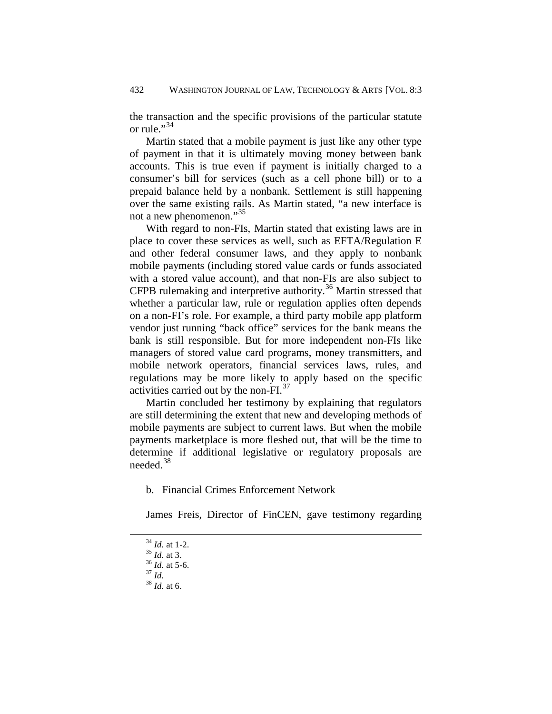the transaction and the specific provisions of the particular statute or rule."<sup>[34](#page-14-1)</sup>

Martin stated that a mobile payment is just like any other type of payment in that it is ultimately moving money between bank accounts. This is true even if payment is initially charged to a consumer's bill for services (such as a cell phone bill) or to a prepaid balance held by a nonbank. Settlement is still happening over the same existing rails. As Martin stated, "a new interface is not a new phenomenon."<sup>[35](#page-14-2)</sup>

With regard to non-FIs, Martin stated that existing laws are in place to cover these services as well, such as EFTA/Regulation E and other federal consumer laws, and they apply to nonbank mobile payments (including stored value cards or funds associated with a stored value account), and that non-FIs are also subject to CFPB rulemaking and interpretive authority.<sup>[36](#page-14-3)</sup> Martin stressed that whether a particular law, rule or regulation applies often depends on a non-FI's role. For example, a third party mobile app platform vendor just running "back office" services for the bank means the bank is still responsible. But for more independent non-FIs like managers of stored value card programs, money transmitters, and mobile network operators, financial services laws, rules, and regulations may be more likely to apply based on the specific activities carried out by the non-FI. [37](#page-14-4)

Martin concluded her testimony by explaining that regulators are still determining the extent that new and developing methods of mobile payments are subject to current laws. But when the mobile payments marketplace is more fleshed out, that will be the time to determine if additional legislative or regulatory proposals are needed. [38](#page-14-5) 

<span id="page-14-0"></span>b. Financial Crimes Enforcement Network

James Freis, Director of FinCEN, gave testimony regarding

<sup>34</sup> *Id.* at 1-2. 35 *Id.* at 3. 36 *Id.* at 5-6. 37 *Id.* 38 *Id.* at 6.

<span id="page-14-5"></span><span id="page-14-4"></span><span id="page-14-3"></span><span id="page-14-2"></span><span id="page-14-1"></span>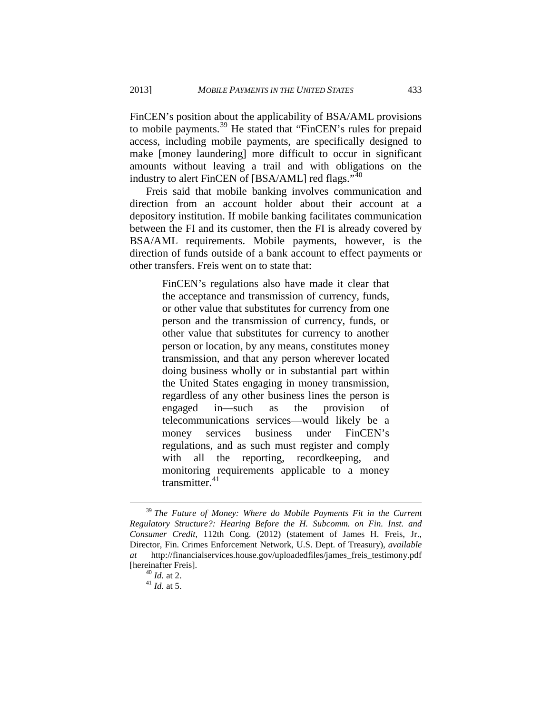FinCEN's position about the applicability of BSA/AML provisions to mobile payments.<sup>[39](#page-15-0)</sup> He stated that "FinCEN's rules for prepaid access, including mobile payments, are specifically designed to make [money laundering] more difficult to occur in significant amounts without leaving a trail and with obligations on the industry to alert FinCEN of [BSA/AML] red flags."<sup>[40](#page-15-1)</sup>

Freis said that mobile banking involves communication and direction from an account holder about their account at a depository institution. If mobile banking facilitates communication between the FI and its customer, then the FI is already covered by BSA/AML requirements. Mobile payments, however, is the direction of funds outside of a bank account to effect payments or other transfers. Freis went on to state that:

> FinCEN's regulations also have made it clear that the acceptance and transmission of currency, funds, or other value that substitutes for currency from one person and the transmission of currency, funds, or other value that substitutes for currency to another person or location, by any means, constitutes money transmission, and that any person wherever located doing business wholly or in substantial part within the United States engaging in money transmission, regardless of any other business lines the person is engaged in—such as the provision of telecommunications services—would likely be a money services business under FinCEN's regulations, and as such must register and comply with all the reporting, record keeping, and monitoring requirements applicable to a money transmitter.<sup>[41](#page-15-2)</sup>

<span id="page-15-1"></span><span id="page-15-0"></span><sup>39</sup> *The Future of Money: Where do Mobile Payments Fit in the Current Regulatory Structure?: Hearing Before the H. Subcomm. on Fin. Inst. and Consumer Credit*, 112th Cong. (2012) (statement of James H. Freis, Jr., Director, Fin. Crimes Enforcement Network, U.S. Dept. of Treasury), *available at* http://financialservices.house.gov/uploadedfiles/james\_freis\_testimony.pdf [hereinafter Freis]. 40 *Id.* at 2. <sup>41</sup> *Id.* at 5.

<span id="page-15-2"></span>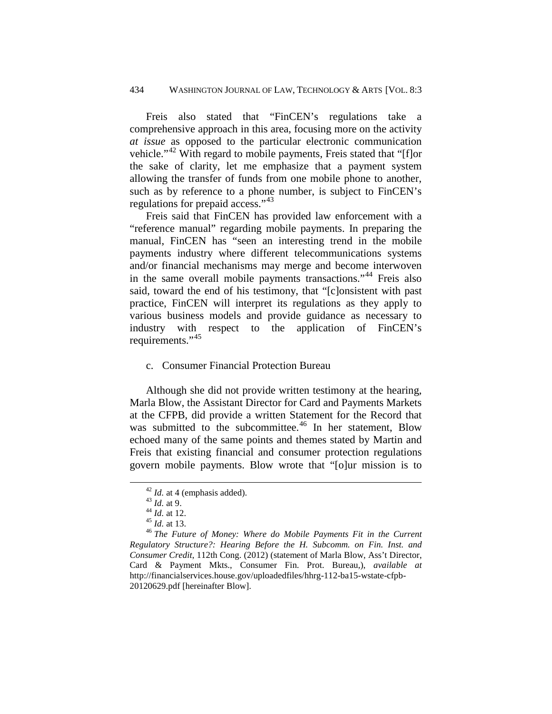Freis also stated that "FinCEN's regulations take a comprehensive approach in this area, focusing more on the activity *at issue* as opposed to the particular electronic communication vehicle."<sup>[42](#page-16-1)</sup> With regard to mobile payments, Freis stated that "[f]or the sake of clarity, let me emphasize that a payment system allowing the transfer of funds from one mobile phone to another, such as by reference to a phone number, is subject to FinCEN's regulations for prepaid access."[43](#page-16-2)

Freis said that FinCEN has provided law enforcement with a "reference manual" regarding mobile payments. In preparing the manual, FinCEN has "seen an interesting trend in the mobile payments industry where different telecommunications systems and/or financial mechanisms may merge and become interwoven in the same overall mobile payments transactions."[44](#page-16-3) Freis also said, toward the end of his testimony, that "[c]onsistent with past practice, FinCEN will interpret its regulations as they apply to various business models and provide guidance as necessary to industry with respect to the application of FinCEN's requirements."<sup>[45](#page-16-4)</sup>

#### <span id="page-16-0"></span>c. Consumer Financial Protection Bureau

Although she did not provide written testimony at the hearing, Marla Blow, the Assistant Director for Card and Payments Markets at the CFPB, did provide a written Statement for the Record that was submitted to the subcommittee.<sup>[46](#page-16-5)</sup> In her statement, Blow echoed many of the same points and themes stated by Martin and Freis that existing financial and consumer protection regulations govern mobile payments. Blow wrote that "[o]ur mission is to

<span id="page-16-5"></span><span id="page-16-4"></span><span id="page-16-3"></span><span id="page-16-2"></span><span id="page-16-1"></span><sup>42</sup> *Id.* at 4 (emphasis added).<br>
43 *Id.* at 9.<br>
44 *Id.* at 12.<br>
<sup>45</sup> *Id.* at 13.<br>
<sup>46</sup> *The Future of Money: Where do Mobile Payments Fit in the Current Regulatory Structure?: Hearing Before the H. Subcomm. on Fin. Inst. and Consumer Credit*, 112th Cong. (2012) (statement of Marla Blow, Ass't Director, Card & Payment Mkts., Consumer Fin. Prot. Bureau,), *available at* http://financialservices.house.gov/uploadedfiles/hhrg-112-ba15-wstate-cfpb-20120629.pdf [hereinafter Blow].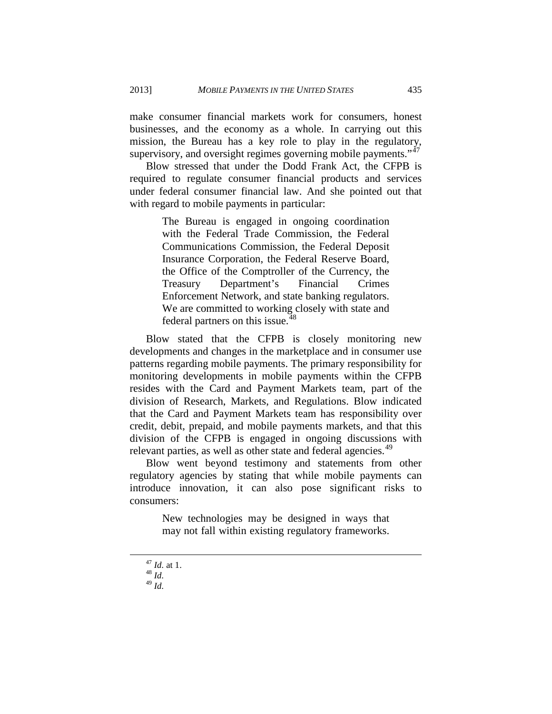make consumer financial markets work for consumers, honest businesses, and the economy as a whole. In carrying out this mission, the Bureau has a key role to play in the regulatory, supervisory, and oversight regimes governing mobile payments."<sup>[47](#page-17-0)</sup>

Blow stressed that under the Dodd Frank Act, the CFPB is required to regulate consumer financial products and services under federal consumer financial law. And she pointed out that with regard to mobile payments in particular:

> The Bureau is engaged in ongoing coordination with the Federal Trade Commission, the Federal Communications Commission, the Federal Deposit Insurance Corporation, the Federal Reserve Board, the Office of the Comptroller of the Currency, the Treasury Department's Financial Crimes Enforcement Network, and state banking regulators. We are committed to working closely with state and federal partners on this issue.<sup>[48](#page-17-1)</sup>

Blow stated that the CFPB is closely monitoring new developments and changes in the marketplace and in consumer use patterns regarding mobile payments. The primary responsibility for monitoring developments in mobile payments within the CFPB resides with the Card and Payment Markets team, part of the division of Research, Markets, and Regulations. Blow indicated that the Card and Payment Markets team has responsibility over credit, debit, prepaid, and mobile payments markets, and that this division of the CFPB is engaged in ongoing discussions with relevant parties, as well as other state and federal agencies.<sup>[49](#page-17-2)</sup>

Blow went beyond testimony and statements from other regulatory agencies by stating that while mobile payments can introduce innovation, it can also pose significant risks to consumers:

> New technologies may be designed in ways that may not fall within existing regulatory frameworks.

<span id="page-17-0"></span><sup>47</sup> *Id.* at 1. <sup>48</sup> *Id.*

<span id="page-17-1"></span>

<span id="page-17-2"></span><sup>49</sup> *Id.*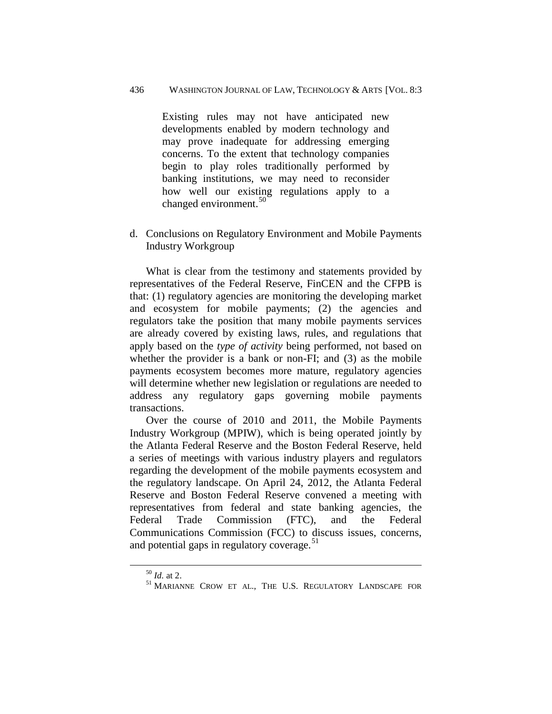Existing rules may not have anticipated new developments enabled by modern technology and may prove inadequate for addressing emerging concerns. To the extent that technology companies begin to play roles traditionally performed by banking institutions, we may need to reconsider how well our existing regulations apply to a changed environment.<sup>[50](#page-18-1)</sup>

<span id="page-18-0"></span>d. Conclusions on Regulatory Environment and Mobile Payments Industry Workgroup

What is clear from the testimony and statements provided by representatives of the Federal Reserve, FinCEN and the CFPB is that: (1) regulatory agencies are monitoring the developing market and ecosystem for mobile payments; (2) the agencies and regulators take the position that many mobile payments services are already covered by existing laws, rules, and regulations that apply based on the *type of activity* being performed, not based on whether the provider is a bank or non-FI; and (3) as the mobile payments ecosystem becomes more mature, regulatory agencies will determine whether new legislation or regulations are needed to address any regulatory gaps governing mobile payments transactions.

Over the course of 2010 and 2011, the Mobile Payments Industry Workgroup (MPIW), which is being operated jointly by the Atlanta Federal Reserve and the Boston Federal Reserve, held a series of meetings with various industry players and regulators regarding the development of the mobile payments ecosystem and the regulatory landscape. On April 24, 2012, the Atlanta Federal Reserve and Boston Federal Reserve convened a meeting with representatives from federal and state banking agencies, the Federal Trade Commission (FTC), and the Federal Communications Commission (FCC) to discuss issues, concerns, and potential gaps in regulatory coverage.<sup>51</sup>

<span id="page-18-2"></span><span id="page-18-1"></span>

 $\stackrel{50}{\phantom{}_{}51}$  *Id.* at 2.  $\stackrel{51}{\phantom{}_{}51}$  MARIANNE CROW ET AL., THE U.S. REGULATORY LANDSCAPE FOR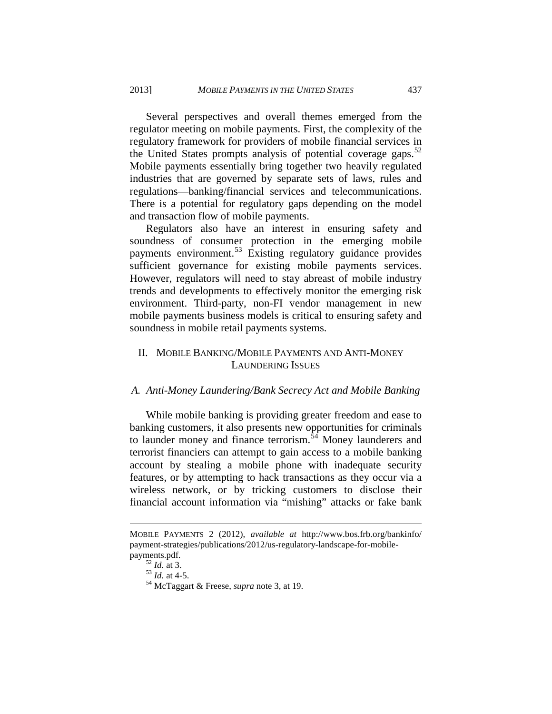Several perspectives and overall themes emerged from the regulator meeting on mobile payments. First, the complexity of the regulatory framework for providers of mobile financial services in the United States prompts analysis of potential coverage gaps.<sup>[52](#page-19-2)</sup> Mobile payments essentially bring together two heavily regulated industries that are governed by separate sets of laws, rules and regulations—banking/financial services and telecommunications. There is a potential for regulatory gaps depending on the model and transaction flow of mobile payments.

Regulators also have an interest in ensuring safety and soundness of consumer protection in the emerging mobile payments environment.[53](#page-19-3) Existing regulatory guidance provides sufficient governance for existing mobile payments services. However, regulators will need to stay abreast of mobile industry trends and developments to effectively monitor the emerging risk environment. Third-party, non-FI vendor management in new mobile payments business models is critical to ensuring safety and soundness in mobile retail payments systems.

# <span id="page-19-0"></span>II. MOBILE BANKING/MOBILE PAYMENTS AND ANTI-MONEY LAUNDERING ISSUES

#### <span id="page-19-1"></span>*A. Anti-Money Laundering/Bank Secrecy Act and Mobile Banking*

While mobile banking is providing greater freedom and ease to banking customers, it also presents new opportunities for criminals to launder money and finance terrorism.<sup>[54](#page-19-4)</sup> Money launderers and terrorist financiers can attempt to gain access to a mobile banking account by stealing a mobile phone with inadequate security features, or by attempting to hack transactions as they occur via a wireless network, or by tricking customers to disclose their financial account information via "mishing" attacks or fake bank

MOBILE PAYMENTS 2 (2012), *available at* http://www.bos.frb.org/bankinfo/ payment-strategies/publications/2012/us-regulatory-landscape-for-mobile-

<span id="page-19-4"></span><span id="page-19-3"></span><span id="page-19-2"></span>payments.pdf.<br><sup>52</sup> *Id.* at 3.<br><sup>53</sup> *Id.* at 4-5.<br><sup>54</sup> McTaggart & Freese, *supra* note 3, at 19.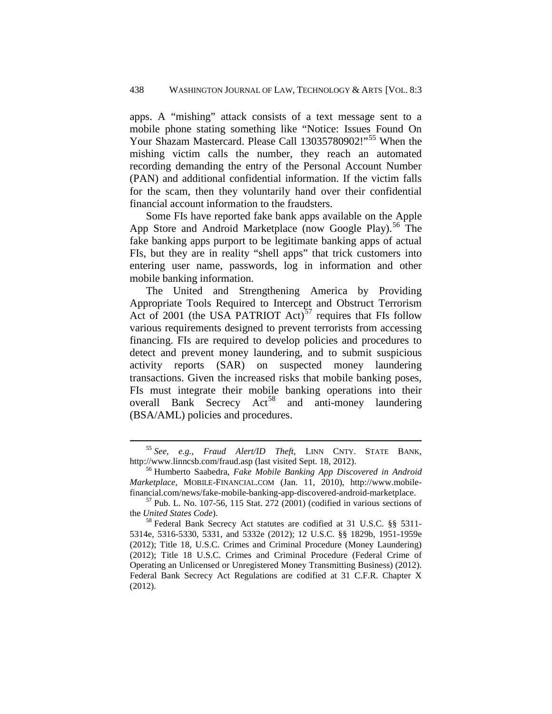apps. A "mishing" attack consists of a text message sent to a mobile phone stating something like "Notice: Issues Found On Your Shazam Mastercard. Please Call 13035780902!"<sup>[55](#page-20-0)</sup> When the mishing victim calls the number, they reach an automated recording demanding the entry of the Personal Account Number (PAN) and additional confidential information. If the victim falls for the scam, then they voluntarily hand over their confidential financial account information to the fraudsters.

Some FIs have reported fake bank apps available on the Apple App Store and Android Marketplace (now Google Play).<sup>[56](#page-20-1)</sup> The fake banking apps purport to be legitimate banking apps of actual FIs, but they are in reality "shell apps" that trick customers into entering user name, passwords, log in information and other mobile banking information.

The United and Strengthening America by Providing Appropriate Tools Required to Intercept and Obstruct Terrorism Act of 2001 (the USA PATRIOT Act)<sup>[57](#page-20-2)</sup> requires that FIs follow various requirements designed to prevent terrorists from accessing financing. FIs are required to develop policies and procedures to detect and prevent money laundering, and to submit suspicious activity reports (SAR) on suspected money laundering transactions. Given the increased risks that mobile banking poses, FIs must integrate their mobile banking operations into their overall Bank Secrecy Act<sup>[58](#page-20-3)</sup> and anti-money laundering (BSA/AML) policies and procedures.

<span id="page-20-0"></span><sup>55</sup> *See, e.g.*, *Fraud Alert/ID Theft*, LINN CNTY. STATE BANK, http://www.linncsb.com/fraud.asp (last visited Sept. 18, 2012). <sup>56</sup> Humberto Saabedra, *Fake Mobile Banking App Discovered in Android* 

<span id="page-20-1"></span>*Marketplace*, MOBILE-FINANCIAL.COM (Jan. 11, 2010), http://www.mobile-

<span id="page-20-2"></span>financial.com/news/fake-mobile-banking-app-discovered-android-marketplace. 57 Pub. L. No. 107-56, 115 Stat. 272 (2001) (codified in various sections of the *United States Code*).<br><sup>58</sup> Federal Bank Secrecy Act statutes are codified at 31 U.S.C. §§ 5311-

<span id="page-20-3"></span><sup>5314</sup>e, 5316-5330, 5331, and 5332e (2012); 12 U.S.C. §§ 1829b, 1951-1959e (2012); Title 18, U.S.C. Crimes and Criminal Procedure (Money Laundering) (2012); Title 18 U.S.C. Crimes and Criminal Procedure (Federal Crime of Operating an Unlicensed or Unregistered Money Transmitting Business) (2012). Federal Bank Secrecy Act Regulations are codified at 31 C.F.R. Chapter X (2012).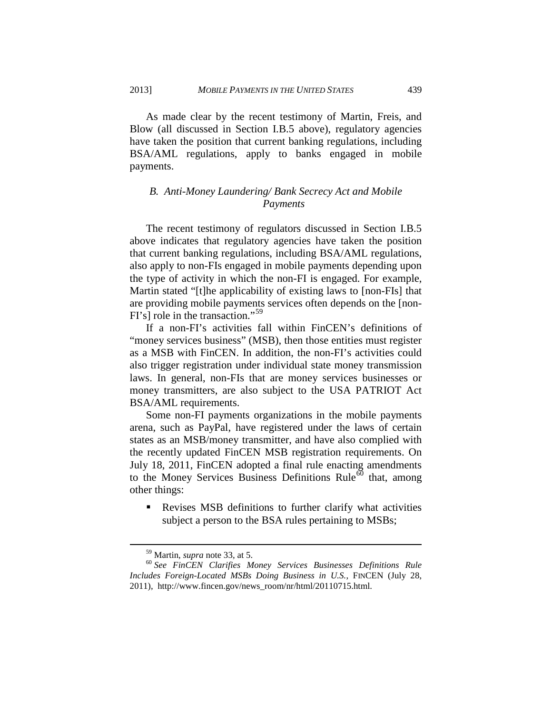As made clear by the recent testimony of Martin, Freis, and Blow (all discussed in Section I.B.5 above), regulatory agencies have taken the position that current banking regulations, including BSA/AML regulations, apply to banks engaged in mobile payments.

# <span id="page-21-0"></span>*B. Anti-Money Laundering/ Bank Secrecy Act and Mobile Payments*

The recent testimony of regulators discussed in Section I.B.5 above indicates that regulatory agencies have taken the position that current banking regulations, including BSA/AML regulations, also apply to non-FIs engaged in mobile payments depending upon the type of activity in which the non-FI is engaged. For example, Martin stated "[t]he applicability of existing laws to [non-FIs] that are providing mobile payments services often depends on the [non-FI's] role in the transaction."[59](#page-21-1) 

If a non-FI's activities fall within FinCEN's definitions of "money services business" (MSB), then those entities must register as a MSB with FinCEN. In addition, the non-FI's activities could also trigger registration under individual state money transmission laws. In general, non-FIs that are money services businesses or money transmitters, are also subject to the USA PATRIOT Act BSA/AML requirements.

Some non-FI payments organizations in the mobile payments arena, such as PayPal, have registered under the laws of certain states as an MSB/money transmitter, and have also complied with the recently updated FinCEN MSB registration requirements. On July 18, 2011, FinCEN adopted a final rule enacting amendments to the Money Services Business Definitions Rule $\overline{60}$  $\overline{60}$  $\overline{60}$  that, among other things:

 Revises MSB definitions to further clarify what activities subject a person to the BSA rules pertaining to MSBs;

<span id="page-21-2"></span><span id="page-21-1"></span><sup>59</sup> Martin, *supra* note 33, at 5. <sup>60</sup> *See FinCEN Clarifies Money Services Businesses Definitions Rule Includes Foreign-Located MSBs Doing Business in U.S.*, FINCEN (July 28, 2011), http://www.fincen.gov/news\_room/nr/html/20110715.html.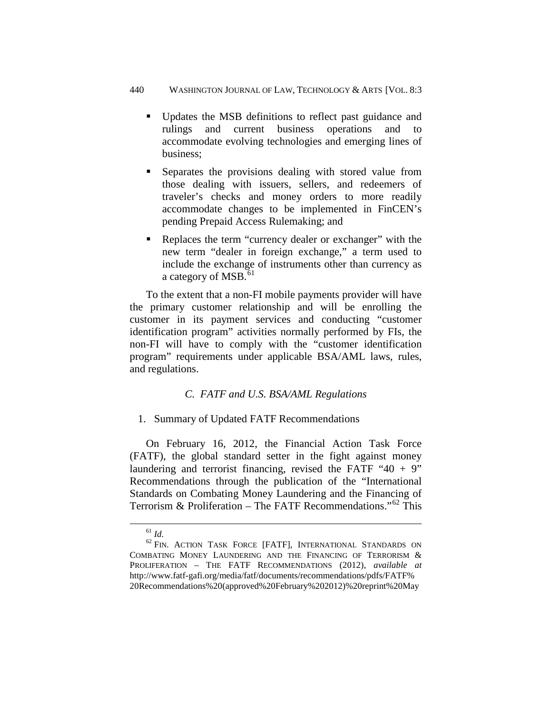- Updates the MSB definitions to reflect past guidance and rulings and current business operations and to accommodate evolving technologies and emerging lines of business;
- Separates the provisions dealing with stored value from those dealing with issuers, sellers, and redeemers of traveler's checks and money orders to more readily accommodate changes to be implemented in FinCEN's pending Prepaid Access Rulemaking; and
- Replaces the term "currency dealer or exchanger" with the new term "dealer in foreign exchange," a term used to include the exchange of instruments other than currency as a category of MSB. $^{61}$  $^{61}$  $^{61}$

To the extent that a non-FI mobile payments provider will have the primary customer relationship and will be enrolling the customer in its payment services and conducting "customer identification program" activities normally performed by FIs, the non-FI will have to comply with the "customer identification program" requirements under applicable BSA/AML laws, rules, and regulations.

# *C. FATF and U.S. BSA/AML Regulations*

# <span id="page-22-1"></span><span id="page-22-0"></span>1. Summary of Updated FATF Recommendations

On February 16, 2012, the Financial Action Task Force (FATF), the global standard setter in the fight against money laundering and terrorist financing, revised the FATF " $40 + 9$ " Recommendations through the publication of the "International Standards on Combating Money Laundering and the Financing of Terrorism & Proliferation – The FATF Recommendations."<sup>[62](#page-22-3)</sup> This

<span id="page-22-3"></span><span id="page-22-2"></span><sup>&</sup>lt;sup>61</sup> *Id.* <sup>62</sup> FIN. ACTION TASK FORCE [FATF], INTERNATIONAL STANDARDS ON COMBATING MONEY LAUNDERING AND THE FINANCING OF TERRORISM & PROLIFERATION – THE FATF RECOMMENDATIONS (2012), *available at* http://www.fatf-gafi.org/media/fatf/documents/recommendations/pdfs/FATF% 20Recommendations%20(approved%20February%202012)%20reprint%20May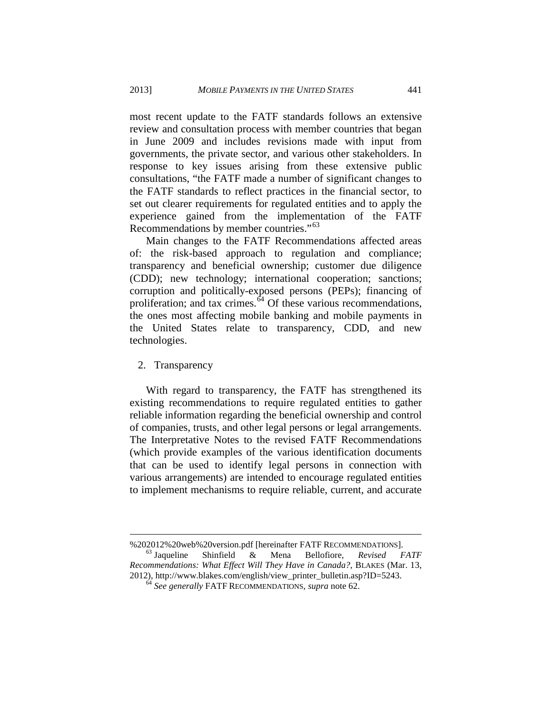most recent update to the FATF standards follows an extensive review and consultation process with member countries that began in June 2009 and includes revisions made with input from governments, the private sector, and various other stakeholders. In response to key issues arising from these extensive public consultations, "the FATF made a number of significant changes to the FATF standards to reflect practices in the financial sector, to set out clearer requirements for regulated entities and to apply the experience gained from the implementation of the FATF Recommendations by member countries."<sup>63</sup>

Main changes to the FATF Recommendations affected areas of: the risk-based approach to regulation and compliance; transparency and beneficial ownership; customer due diligence (CDD); new technology; international cooperation; sanctions; corruption and politically-exposed persons (PEPs); financing of proliferation; and tax crimes. $64$  Of these various recommendations, the ones most affecting mobile banking and mobile payments in the United States relate to transparency, CDD, and new technologies.

#### <span id="page-23-0"></span>2. Transparency

 $\overline{a}$ 

With regard to transparency, the FATF has strengthened its existing recommendations to require regulated entities to gather reliable information regarding the beneficial ownership and control of companies, trusts, and other legal persons or legal arrangements. The Interpretative Notes to the revised FATF Recommendations (which provide examples of the various identification documents that can be used to identify legal persons in connection with various arrangements) are intended to encourage regulated entities to implement mechanisms to require reliable, current, and accurate

%202012%20web%20version.pdf [hereinafter FATF RECOMMENDATIONS]. <sup>63</sup> Jaqueline Shinfield & Mena Bellofiore, *Revised FATF* 

<span id="page-23-2"></span><span id="page-23-1"></span>*Recommendations: What Effect Will They Have in Canada?*, BLAKES (Mar. 13, 2012), http://www.blakes.com/english/view\_printer\_bulletin.asp?ID=5243. 64 *See generally* FATF RECOMMENDATIONS, *supra* note 62.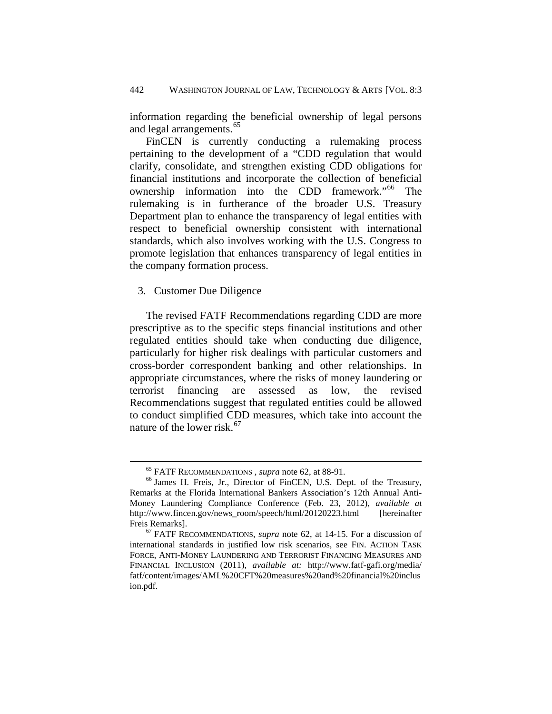information regarding the beneficial ownership of legal persons and legal arrangements.<sup>[65](#page-24-1)</sup>

FinCEN is currently conducting a rulemaking process pertaining to the development of a "CDD regulation that would clarify, consolidate, and strengthen existing CDD obligations for financial institutions and incorporate the collection of beneficial ownership information into the CDD framework."<sup>[66](#page-24-2)</sup> The rulemaking is in furtherance of the broader U.S. Treasury Department plan to enhance the transparency of legal entities with respect to beneficial ownership consistent with international standards, which also involves working with the U.S. Congress to promote legislation that enhances transparency of legal entities in the company formation process.

<span id="page-24-0"></span>3. Customer Due Diligence

 $\overline{a}$ 

The revised FATF Recommendations regarding CDD are more prescriptive as to the specific steps financial institutions and other regulated entities should take when conducting due diligence, particularly for higher risk dealings with particular customers and cross-border correspondent banking and other relationships. In appropriate circumstances, where the risks of money laundering or terrorist financing are assessed as low, the revised Recommendations suggest that regulated entities could be allowed to conduct simplified CDD measures, which take into account the nature of the lower risk. $67$ 

<span id="page-24-2"></span><span id="page-24-1"></span><sup>65</sup> FATF RECOMMENDATIONS *, supra* note 62, at 88-91. <sup>66</sup> James H. Freis, Jr., Director of FinCEN, U.S. Dept. of the Treasury, Remarks at the Florida International Bankers Association's 12th Annual Anti-Money Laundering Compliance Conference (Feb. 23, 2012), *available at* http://www.fincen.gov/news\_room/speech/html/20120223.html [hereinafter Freis Remarks]. 67 FATF RECOMMENDATIONS, *supra* note 62, at 14-15. For a discussion of

<span id="page-24-3"></span>international standards in justified low risk scenarios, see FIN. ACTION TASK FORCE, ANTI-MONEY LAUNDERING AND TERRORIST FINANCING MEASURES AND FINANCIAL INCLUSION (2011), *available at:* http://www.fatf-gafi.org/media/ fatf/content/images/AML%20CFT%20measures%20and%20financial%20inclus ion.pdf.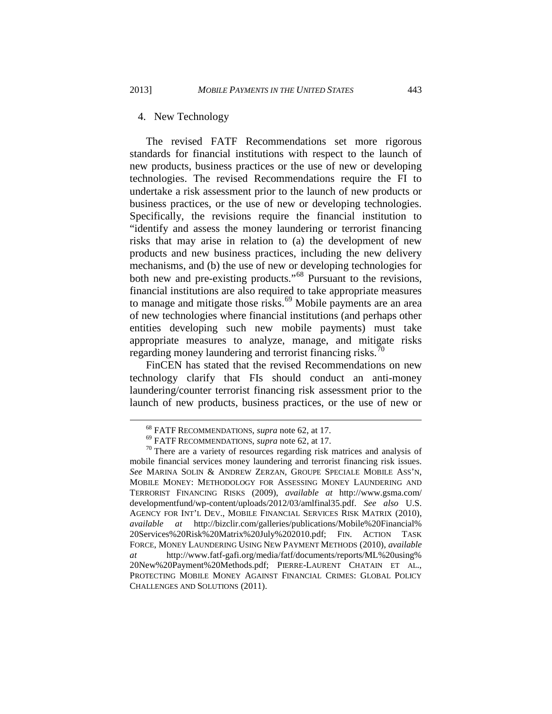#### <span id="page-25-0"></span>4. New Technology

The revised FATF Recommendations set more rigorous standards for financial institutions with respect to the launch of new products, business practices or the use of new or developing technologies. The revised Recommendations require the FI to undertake a risk assessment prior to the launch of new products or business practices, or the use of new or developing technologies. Specifically, the revisions require the financial institution to "identify and assess the money laundering or terrorist financing risks that may arise in relation to (a) the development of new products and new business practices, including the new delivery mechanisms, and (b) the use of new or developing technologies for both new and pre-existing products."<sup>[68](#page-25-1)</sup> Pursuant to the revisions, financial institutions are also required to take appropriate measures to manage and mitigate those risks.<sup>[69](#page-25-2)</sup> Mobile payments are an area of new technologies where financial institutions (and perhaps other entities developing such new mobile payments) must take appropriate measures to analyze, manage, and mitigate risks regarding money laundering and terrorist financing risks.<sup>[70](#page-25-3)</sup>

FinCEN has stated that the revised Recommendations on new technology clarify that FIs should conduct an anti-money laundering/counter terrorist financing risk assessment prior to the launch of new products, business practices, or the use of new or

<span id="page-25-3"></span><span id="page-25-2"></span><span id="page-25-1"></span><sup>&</sup>lt;sup>68</sup> FATF RECOMMENDATIONS, *supra* note 62, at 17.<br><sup>69</sup> FATF RECOMMENDATIONS, *supra* note 62, at 17.<br><sup>70</sup> There are a variety of resources regarding risk matrices and analysis of mobile financial services money laundering and terrorist financing risk issues. *See* MARINA SOLIN & ANDREW ZERZAN, GROUPE SPECIALE MOBILE ASS'N, MOBILE MONEY: METHODOLOGY FOR ASSESSING MONEY LAUNDERING AND TERRORIST FINANCING RISKS (2009), *available at* http://www.gsma.com/ developmentfund/wp-content/uploads/2012/03/amlfinal35.pdf. *See also* U.S. AGENCY FOR INT'L DEV., MOBILE FINANCIAL SERVICES RISK MATRIX (2010), *available at* http://bizclir.com/galleries/publications/Mobile%20Financial% 20Services%20Risk%20Matrix%20July%202010.pdf; FIN. ACTION TASK FORCE, MONEY LAUNDERING USING NEW PAYMENT METHODS (2010), *available at* http://www.fatf-gafi.org/media/fatf/documents/reports/ML%20using% 20New%20Payment%20Methods.pdf; PIERRE-LAURENT CHATAIN ET AL., PROTECTING MOBILE MONEY AGAINST FINANCIAL CRIMES: GLOBAL POLICY CHALLENGES AND SOLUTIONS (2011).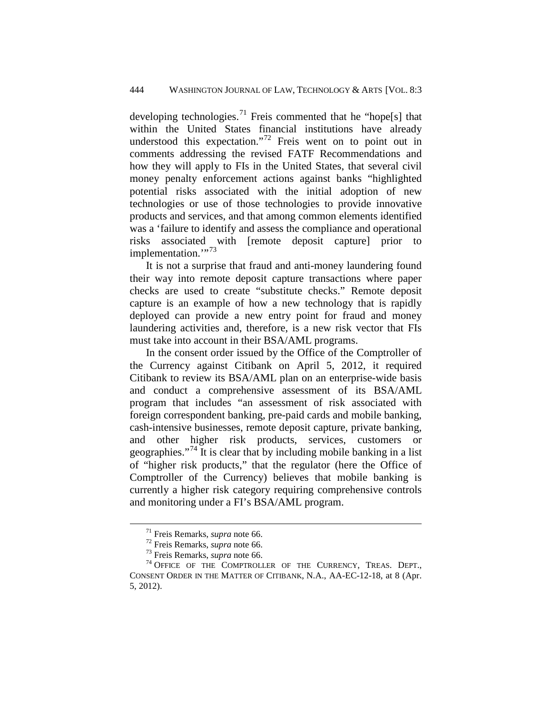developing technologies.<sup>[71](#page-26-0)</sup> Freis commented that he "hope[s] that within the United States financial institutions have already understood this expectation."<sup>[72](#page-26-1)</sup> Freis went on to point out in comments addressing the revised FATF Recommendations and how they will apply to FIs in the United States, that several civil money penalty enforcement actions against banks "highlighted potential risks associated with the initial adoption of new technologies or use of those technologies to provide innovative products and services, and that among common elements identified was a 'failure to identify and assess the compliance and operational risks associated with [remote deposit capture] prior to implementation."<sup>[73](#page-26-2)</sup>

It is not a surprise that fraud and anti-money laundering found their way into remote deposit capture transactions where paper checks are used to create "substitute checks." Remote deposit capture is an example of how a new technology that is rapidly deployed can provide a new entry point for fraud and money laundering activities and, therefore, is a new risk vector that FIs must take into account in their BSA/AML programs.

In the consent order issued by the Office of the Comptroller of the Currency against Citibank on April 5, 2012, it required Citibank to review its BSA/AML plan on an enterprise-wide basis and conduct a comprehensive assessment of its BSA/AML program that includes "an assessment of risk associated with foreign correspondent banking, pre-paid cards and mobile banking, cash-intensive businesses, remote deposit capture, private banking, and other higher risk products, services, customers or geographies."<sup>[74](#page-26-3)</sup> It is clear that by including mobile banking in a list of "higher risk products," that the regulator (here the Office of Comptroller of the Currency) believes that mobile banking is currently a higher risk category requiring comprehensive controls and monitoring under a FI's BSA/AML program.

<span id="page-26-3"></span><span id="page-26-2"></span><span id="page-26-1"></span><span id="page-26-0"></span><sup>&</sup>lt;sup>71</sup> Freis Remarks, *supra* note 66.<br><sup>72</sup> Freis Remarks, *supra* note 66.<br><sup>73</sup> Freis Remarks, *supra* note 66.<br><sup>74</sup> OFFICE OF THE COMPTROLLER OF THE CURRENCY, TREAS. DEPT., CONSENT ORDER IN THE MATTER OF CITIBANK, N.A., AA-EC-12-18, at 8 (Apr. 5, 2012).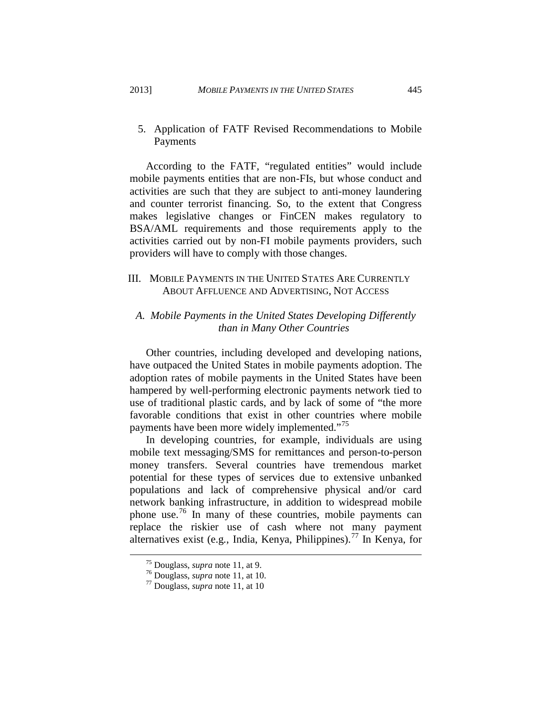<span id="page-27-0"></span>5. Application of FATF Revised Recommendations to Mobile Payments

According to the FATF, "regulated entities" would include mobile payments entities that are non-FIs, but whose conduct and activities are such that they are subject to anti-money laundering and counter terrorist financing. So, to the extent that Congress makes legislative changes or FinCEN makes regulatory to BSA/AML requirements and those requirements apply to the activities carried out by non-FI mobile payments providers, such providers will have to comply with those changes.

# <span id="page-27-1"></span>III. MOBILE PAYMENTS IN THE UNITED STATES ARE CURRENTLY ABOUT AFFLUENCE AND ADVERTISING, NOT ACCESS

## <span id="page-27-2"></span>*A. Mobile Payments in the United States Developing Differently than in Many Other Countries*

Other countries, including developed and developing nations, have outpaced the United States in mobile payments adoption. The adoption rates of mobile payments in the United States have been hampered by well-performing electronic payments network tied to use of traditional plastic cards, and by lack of some of "the more favorable conditions that exist in other countries where mobile payments have been more widely implemented."<sup>[75](#page-27-3)</sup>

In developing countries, for example, individuals are using mobile text messaging/SMS for remittances and person-to-person money transfers. Several countries have tremendous market potential for these types of services due to extensive unbanked populations and lack of comprehensive physical and/or card network banking infrastructure, in addition to widespread mobile phone use.[76](#page-27-4) In many of these countries, mobile payments can replace the riskier use of cash where not many payment alternatives exist (e.g., India, Kenya, Philippines).<sup>[77](#page-27-5)</sup> In Kenya, for

<span id="page-27-4"></span><span id="page-27-3"></span><sup>75</sup> Douglass, *supra* note 11, at 9. <sup>76</sup> Douglass, *supra* note 11, at 10. <sup>77</sup> Douglass, *supra* note 11, at 10

<span id="page-27-5"></span>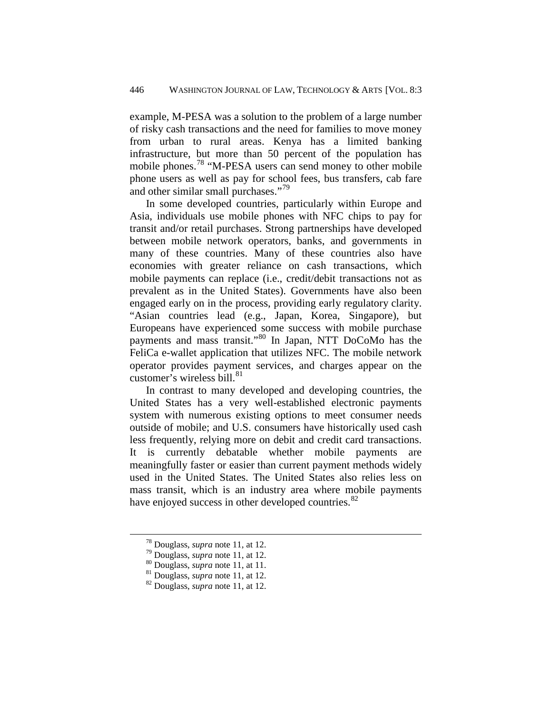example, M-PESA was a solution to the problem of a large number of risky cash transactions and the need for families to move money from urban to rural areas. Kenya has a limited banking infrastructure, but more than 50 percent of the population has mobile phones.<sup>78</sup> "M-PESA users can send money to other mobile phone users as well as pay for school fees, bus transfers, cab fare and other similar small purchases."<sup>[79](#page-28-1)</sup>

In some developed countries, particularly within Europe and Asia, individuals use mobile phones with NFC chips to pay for transit and/or retail purchases. Strong partnerships have developed between mobile network operators, banks, and governments in many of these countries. Many of these countries also have economies with greater reliance on cash transactions, which mobile payments can replace (i.e., credit/debit transactions not as prevalent as in the United States). Governments have also been engaged early on in the process, providing early regulatory clarity. "Asian countries lead (e.g., Japan, Korea, Singapore), but Europeans have experienced some success with mobile purchase payments and mass transit."[80](#page-28-2) In Japan, NTT DoCoMo has the FeliCa e-wallet application that utilizes NFC. The mobile network operator provides payment services, and charges appear on the customer's wireless bill. $81$ 

In contrast to many developed and developing countries, the United States has a very well-established electronic payments system with numerous existing options to meet consumer needs outside of mobile; and U.S. consumers have historically used cash less frequently, relying more on debit and credit card transactions. It is currently debatable whether mobile payments are meaningfully faster or easier than current payment methods widely used in the United States. The United States also relies less on mass transit, which is an industry area where mobile payments have enjoyed success in other developed countries.<sup>[82](#page-28-4)</sup>

<span id="page-28-1"></span><span id="page-28-0"></span><sup>&</sup>lt;sup>78</sup> Douglass, *supra* note 11, at 12.<br><sup>30</sup> Douglass, *supra* note 11, at 12.<br><sup>80</sup> Douglass, *supra* note 11, at 12.<br><sup>82</sup> Douglass, *supra* note 11, at 12.

<span id="page-28-3"></span><span id="page-28-2"></span>

<span id="page-28-4"></span>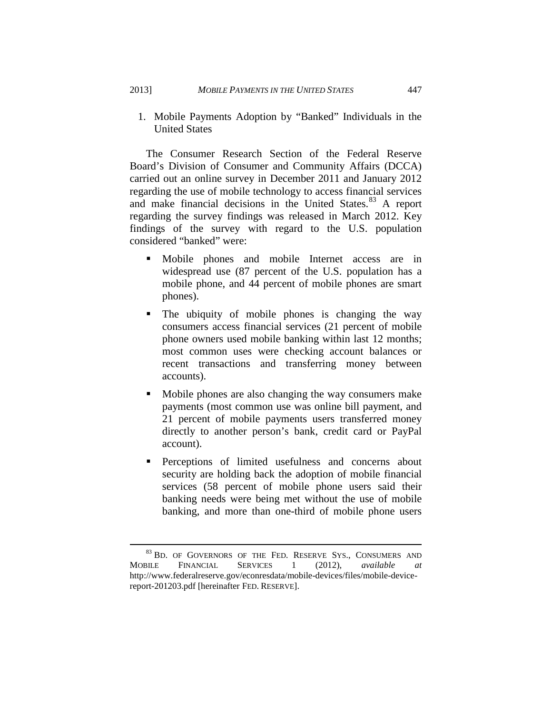<span id="page-29-0"></span>1. Mobile Payments Adoption by "Banked" Individuals in the United States

The Consumer Research Section of the Federal Reserve Board's Division of Consumer and Community Affairs (DCCA) carried out an online survey in December 2011 and January 2012 regarding the use of mobile technology to access financial services and make financial decisions in the United States. [83](#page-29-1) A report regarding the survey findings was released in March 2012. Key findings of the survey with regard to the U.S. population considered "banked" were:

- Mobile phones and mobile Internet access are in widespread use (87 percent of the U.S. population has a mobile phone, and 44 percent of mobile phones are smart phones).
- The ubiquity of mobile phones is changing the way consumers access financial services (21 percent of mobile phone owners used mobile banking within last 12 months; most common uses were checking account balances or recent transactions and transferring money between accounts).
- Mobile phones are also changing the way consumers make payments (most common use was online bill payment, and 21 percent of mobile payments users transferred money directly to another person's bank, credit card or PayPal account).
- Perceptions of limited usefulness and concerns about security are holding back the adoption of mobile financial services (58 percent of mobile phone users said their banking needs were being met without the use of mobile banking, and more than one-third of mobile phone users

<span id="page-29-1"></span> $83$  BD. OF GOVERNORS OF THE FED. RESERVE SYS., CONSUMERS AND SILE FINANCIAL SERVICES 1 (2012), *available at* MOBILE FINANCIAL SERVICES 1 (2012), *available at* http://www.federalreserve.gov/econresdata/mobile-devices/files/mobile-devicereport-201203.pdf [hereinafter FED. RESERVE].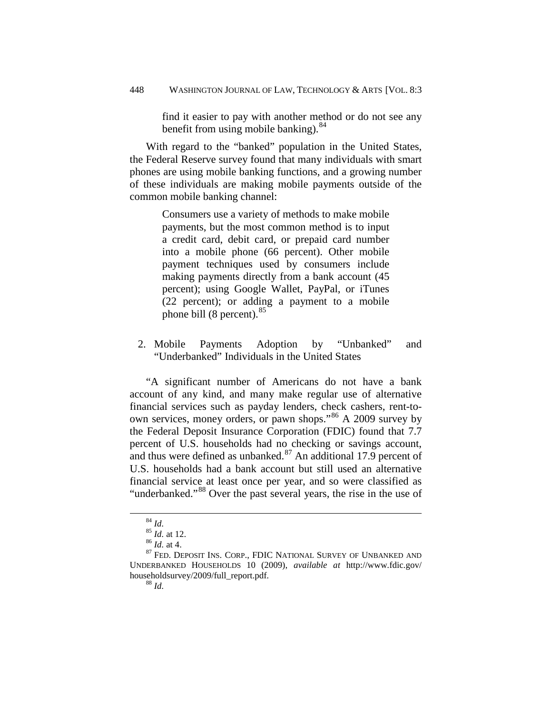find it easier to pay with another method or do not see any benefit from using mobile banking). $84$ 

With regard to the "banked" population in the United States, the Federal Reserve survey found that many individuals with smart phones are using mobile banking functions, and a growing number of these individuals are making mobile payments outside of the common mobile banking channel:

> Consumers use a variety of methods to make mobile payments, but the most common method is to input a credit card, debit card, or prepaid card number into a mobile phone (66 percent). Other mobile payment techniques used by consumers include making payments directly from a bank account (45 percent); using Google Wallet, PayPal, or iTunes (22 percent); or adding a payment to a mobile phone bill  $(8 \text{ percent})$ .<sup>[85](#page-30-2)</sup>

<span id="page-30-0"></span>2. Mobile Payments Adoption by "Unbanked" and "Underbanked" Individuals in the United States

"A significant number of Americans do not have a bank account of any kind, and many make regular use of alternative financial services such as payday lenders, check cashers, rent-toown services, money orders, or pawn shops."[86](#page-30-3) A 2009 survey by the Federal Deposit Insurance Corporation (FDIC) found that 7.7 percent of U.S. households had no checking or savings account, and thus were defined as unbanked. $87$  An additional 17.9 percent of U.S. households had a bank account but still used an alternative financial service at least once per year, and so were classified as "underbanked."<sup>[88](#page-30-5)</sup> Over the past several years, the rise in the use of

<span id="page-30-5"></span><span id="page-30-4"></span><span id="page-30-3"></span><span id="page-30-2"></span><span id="page-30-1"></span><sup>&</sup>lt;sup>84</sup> *Id.* 85 *Id.* at 12.<br><sup>85</sup> *Id.* at 4.<br><sup>87</sup> Fed. Deposit Ins. Corp., FDIC NATIONAL SURVEY OF UNBANKED AND UNDERBANKED HOUSEHOLDS 10 (2009), *available at* http://www.fdic.gov/ householdsurvey/2009/full\_report.pdf. 88 *Id.*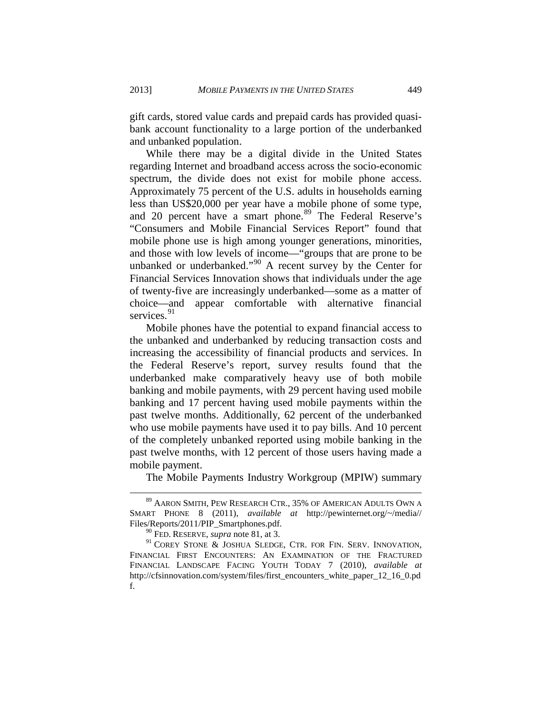gift cards, stored value cards and prepaid cards has provided quasibank account functionality to a large portion of the underbanked and unbanked population.

While there may be a digital divide in the United States regarding Internet and broadband access across the socio-economic spectrum, the divide does not exist for mobile phone access. Approximately 75 percent of the U.S. adults in households earning less than US\$20,000 per year have a mobile phone of some type, and 20 percent have a smart phone.<sup>[89](#page-31-0)</sup> The Federal Reserve's "Consumers and Mobile Financial Services Report" found that mobile phone use is high among younger generations, minorities, and those with low levels of income—"groups that are prone to be unbanked or underbanked."[90](#page-31-1) A recent survey by the Center for Financial Services Innovation shows that individuals under the age of twenty-five are increasingly underbanked—some as a matter of choice—and appear comfortable with alternative financial services.<sup>[91](#page-31-2)</sup>

Mobile phones have the potential to expand financial access to the unbanked and underbanked by reducing transaction costs and increasing the accessibility of financial products and services. In the Federal Reserve's report, survey results found that the underbanked make comparatively heavy use of both mobile banking and mobile payments, with 29 percent having used mobile banking and 17 percent having used mobile payments within the past twelve months. Additionally, 62 percent of the underbanked who use mobile payments have used it to pay bills. And 10 percent of the completely unbanked reported using mobile banking in the past twelve months, with 12 percent of those users having made a mobile payment.

The Mobile Payments Industry Workgroup (MPIW) summary

<span id="page-31-0"></span><sup>89</sup> AARON SMITH, PEW RESEARCH CTR., 35% OF AMERICAN ADULTS OWN A SMART PHONE 8 (2011), *available at* http://pewinternet.org/~/media// Files/Reports/2011/PIP\_Smartphones.pdf. 90 FED. RESERVE, *supra* note 81, at 3.

<span id="page-31-2"></span><span id="page-31-1"></span><sup>&</sup>lt;sup>91</sup> COREY STONE & JOSHUA SLEDGE, CTR. FOR FIN. SERV. INNOVATION, FINANCIAL FIRST ENCOUNTERS: AN EXAMINATION OF THE FRACTURED FINANCIAL LANDSCAPE FACING YOUTH TODAY 7 (2010), *available at* http://cfsinnovation.com/system/files/first\_encounters\_white\_paper\_12\_16\_0.pd f.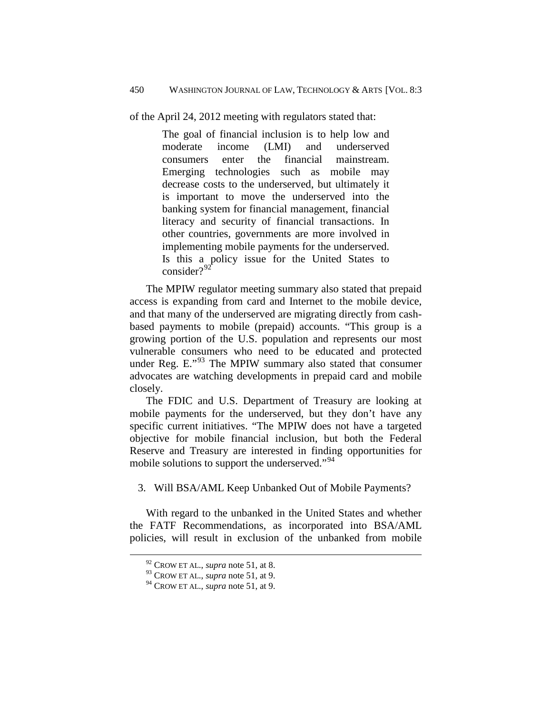of the April 24, 2012 meeting with regulators stated that:

The goal of financial inclusion is to help low and moderate income (LMI) and underserved consumers enter the financial mainstream. Emerging technologies such as mobile may decrease costs to the underserved, but ultimately it is important to move the underserved into the banking system for financial management, financial literacy and security of financial transactions. In other countries, governments are more involved in implementing mobile payments for the underserved. Is this a policy issue for the United States to consider?<sup>[92](#page-32-1)</sup>

The MPIW regulator meeting summary also stated that prepaid access is expanding from card and Internet to the mobile device, and that many of the underserved are migrating directly from cashbased payments to mobile (prepaid) accounts. "This group is a growing portion of the U.S. population and represents our most vulnerable consumers who need to be educated and protected under Reg. E."<sup>[93](#page-32-2)</sup> The MPIW summary also stated that consumer advocates are watching developments in prepaid card and mobile closely.

The FDIC and U.S. Department of Treasury are looking at mobile payments for the underserved, but they don't have any specific current initiatives. "The MPIW does not have a targeted objective for mobile financial inclusion, but both the Federal Reserve and Treasury are interested in finding opportunities for mobile solutions to support the underserved."<sup>[94](#page-32-3)</sup>

<span id="page-32-0"></span>3. Will BSA/AML Keep Unbanked Out of Mobile Payments?

<span id="page-32-2"></span><span id="page-32-1"></span>With regard to the unbanked in the United States and whether the FATF Recommendations, as incorporated into BSA/AML policies, will result in exclusion of the unbanked from mobile

<sup>92</sup> CROW ET AL., *supra* note 51, at 8.

<sup>93</sup> CROW ET AL., *supra* note 51, at 9.

<span id="page-32-3"></span><sup>94</sup> CROW ET AL., *supra* note 51, at 9.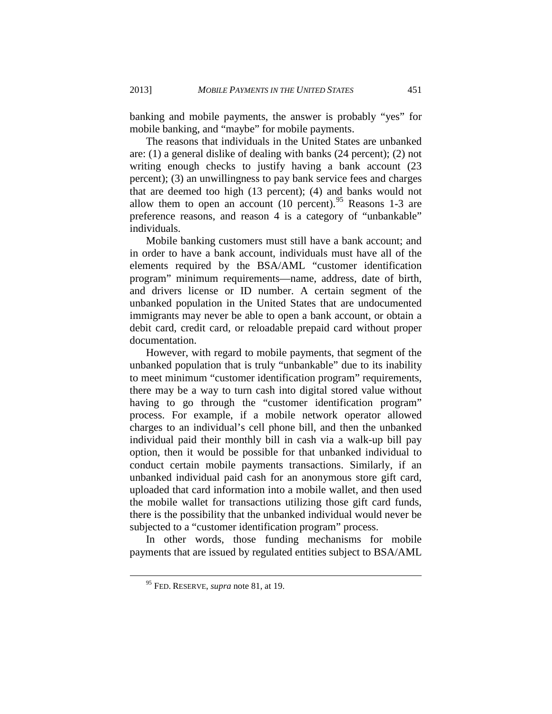banking and mobile payments, the answer is probably "yes" for mobile banking, and "maybe" for mobile payments.

The reasons that individuals in the United States are unbanked are: (1) a general dislike of dealing with banks (24 percent); (2) not writing enough checks to justify having a bank account (23 percent); (3) an unwillingness to pay bank service fees and charges that are deemed too high (13 percent); (4) and banks would not allow them to open an account  $(10 \text{ percent})^{95}$  $(10 \text{ percent})^{95}$  $(10 \text{ percent})^{95}$  Reasons 1-3 are preference reasons, and reason 4 is a category of "unbankable" individuals.

Mobile banking customers must still have a bank account; and in order to have a bank account, individuals must have all of the elements required by the BSA/AML "customer identification program" minimum requirements—name, address, date of birth, and drivers license or ID number. A certain segment of the unbanked population in the United States that are undocumented immigrants may never be able to open a bank account, or obtain a debit card, credit card, or reloadable prepaid card without proper documentation.

However, with regard to mobile payments, that segment of the unbanked population that is truly "unbankable" due to its inability to meet minimum "customer identification program" requirements, there may be a way to turn cash into digital stored value without having to go through the "customer identification program" process. For example, if a mobile network operator allowed charges to an individual's cell phone bill, and then the unbanked individual paid their monthly bill in cash via a walk-up bill pay option, then it would be possible for that unbanked individual to conduct certain mobile payments transactions. Similarly, if an unbanked individual paid cash for an anonymous store gift card, uploaded that card information into a mobile wallet, and then used the mobile wallet for transactions utilizing those gift card funds, there is the possibility that the unbanked individual would never be subjected to a "customer identification program" process.

<span id="page-33-0"></span>In other words, those funding mechanisms for mobile payments that are issued by regulated entities subject to BSA/AML

<sup>95</sup> FED. RESERVE, *supra* note 81, at 19.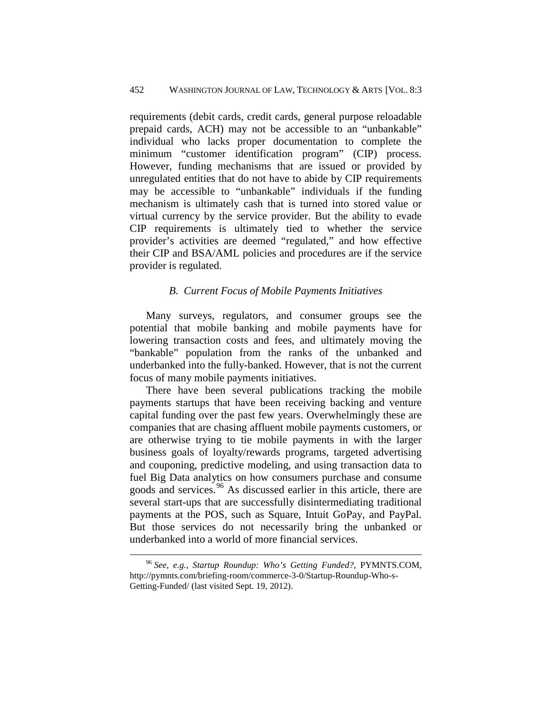requirements (debit cards, credit cards, general purpose reloadable prepaid cards, ACH) may not be accessible to an "unbankable" individual who lacks proper documentation to complete the minimum "customer identification program" (CIP) process. However, funding mechanisms that are issued or provided by unregulated entities that do not have to abide by CIP requirements may be accessible to "unbankable" individuals if the funding mechanism is ultimately cash that is turned into stored value or virtual currency by the service provider. But the ability to evade CIP requirements is ultimately tied to whether the service provider's activities are deemed "regulated," and how effective their CIP and BSA/AML policies and procedures are if the service provider is regulated.

#### *B. Current Focus of Mobile Payments Initiatives*

<span id="page-34-0"></span>Many surveys, regulators, and consumer groups see the potential that mobile banking and mobile payments have for lowering transaction costs and fees, and ultimately moving the "bankable" population from the ranks of the unbanked and underbanked into the fully-banked. However, that is not the current focus of many mobile payments initiatives.

There have been several publications tracking the mobile payments startups that have been receiving backing and venture capital funding over the past few years. Overwhelmingly these are companies that are chasing affluent mobile payments customers, or are otherwise trying to tie mobile payments in with the larger business goals of loyalty/rewards programs, targeted advertising and couponing, predictive modeling, and using transaction data to fuel Big Data analytics on how consumers purchase and consume goods and services.<sup>[96](#page-34-1)</sup> As discussed earlier in this article, there are several start-ups that are successfully disintermediating traditional payments at the POS, such as Square, Intuit GoPay, and PayPal. But those services do not necessarily bring the unbanked or underbanked into a world of more financial services.

<span id="page-34-1"></span><sup>96</sup> *See, e.g.*, *Startup Roundup: Who's Getting Funded?*, PYMNTS.COM, http://pymnts.com/briefing-room/commerce-3-0/Startup-Roundup-Who-s-Getting-Funded/ (last visited Sept. 19, 2012).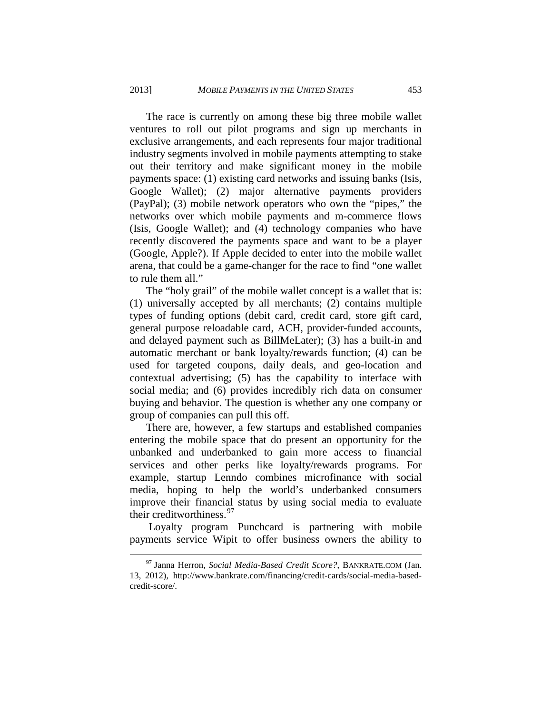The race is currently on among these big three mobile wallet ventures to roll out pilot programs and sign up merchants in exclusive arrangements, and each represents four major traditional industry segments involved in mobile payments attempting to stake out their territory and make significant money in the mobile payments space: (1) existing card networks and issuing banks (Isis, Google Wallet); (2) major alternative payments providers (PayPal); (3) mobile network operators who own the "pipes," the networks over which mobile payments and m-commerce flows (Isis, Google Wallet); and (4) technology companies who have recently discovered the payments space and want to be a player (Google, Apple?). If Apple decided to enter into the mobile wallet arena, that could be a game-changer for the race to find "one wallet to rule them all."

The "holy grail" of the mobile wallet concept is a wallet that is: (1) universally accepted by all merchants; (2) contains multiple types of funding options (debit card, credit card, store gift card, general purpose reloadable card, ACH, provider-funded accounts, and delayed payment such as BillMeLater); (3) has a built-in and automatic merchant or bank loyalty/rewards function; (4) can be used for targeted coupons, daily deals, and geo-location and contextual advertising; (5) has the capability to interface with social media; and (6) provides incredibly rich data on consumer buying and behavior. The question is whether any one company or group of companies can pull this off.

There are, however, a few startups and established companies entering the mobile space that do present an opportunity for the unbanked and underbanked to gain more access to financial services and other perks like loyalty/rewards programs. For example, startup Lenndo combines microfinance with social media, hoping to help the world's underbanked consumers improve their financial status by using social media to evaluate their creditworthiness. $97$ 

Loyalty program Punchcard is partnering with mobile payments service Wipit to offer business owners the ability to

<span id="page-35-0"></span><sup>97</sup> Janna Herron, *Social Media-Based Credit Score?*, BANKRATE.COM (Jan. 13, 2012), http://www.bankrate.com/financing/credit-cards/social-media-basedcredit-score/.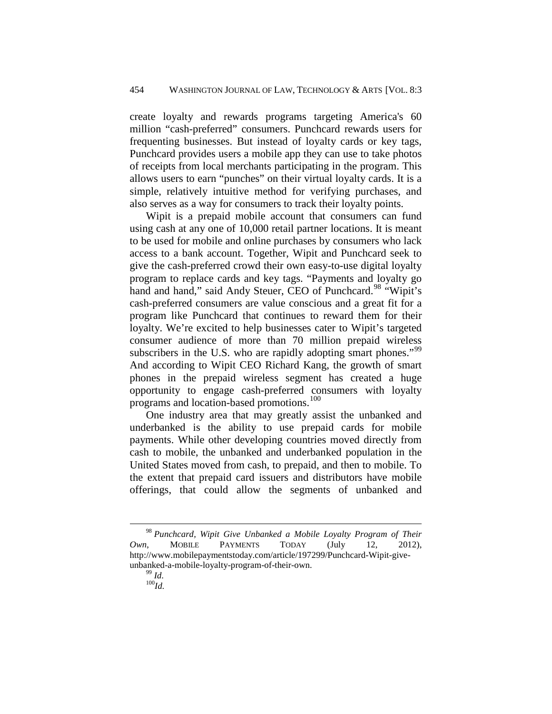create loyalty and rewards programs targeting America's 60 million "cash-preferred" consumers. Punchcard rewards users for frequenting businesses. But instead of loyalty cards or key tags, Punchcard provides users a mobile app they can use to take photos of receipts from local merchants participating in the program. This allows users to earn "punches" on their virtual loyalty cards. It is a simple, relatively intuitive method for verifying purchases, and also serves as a way for consumers to track their loyalty points.

Wipit is a prepaid mobile account that consumers can fund using cash at any one of 10,000 retail partner locations. It is meant to be used for mobile and online purchases by consumers who lack access to a bank account. Together, Wipit and Punchcard seek to give the cash-preferred crowd their own easy-to-use digital loyalty program to replace cards and key tags. "Payments and loyalty go hand and hand," said Andy Steuer, CEO of Punchcard.<sup>[98](#page-36-0)</sup> "Wipit's cash-preferred consumers are value conscious and a great fit for a program like Punchcard that continues to reward them for their loyalty. We're excited to help businesses cater to Wipit's targeted consumer audience of more than 70 million prepaid wireless subscribers in the U.S. who are rapidly adopting smart phones."<sup>[99](#page-36-1)</sup> And according to Wipit CEO Richard Kang, the growth of smart phones in the prepaid wireless segment has created a huge opportunity to engage cash-preferred consumers with loyalty programs and location-based promotions.<sup>[100](#page-36-2)</sup>

One industry area that may greatly assist the unbanked and underbanked is the ability to use prepaid cards for mobile payments. While other developing countries moved directly from cash to mobile, the unbanked and underbanked population in the United States moved from cash, to prepaid, and then to mobile. To the extent that prepaid card issuers and distributors have mobile offerings, that could allow the segments of unbanked and

<span id="page-36-2"></span><span id="page-36-1"></span><span id="page-36-0"></span><sup>98</sup> *Punchcard, Wipit Give Unbanked a Mobile Loyalty Program of Their Own*, MOBILE PAYMENTS TODAY (July 12, 2012), http://www.mobilepaymentstoday.com/article/197299/Punchcard-Wipit-giveunbanked-a-mobile-loyalty-program-of-their-own.<br><sup>99</sup> *Id.* <sup>100</sup>*Id*.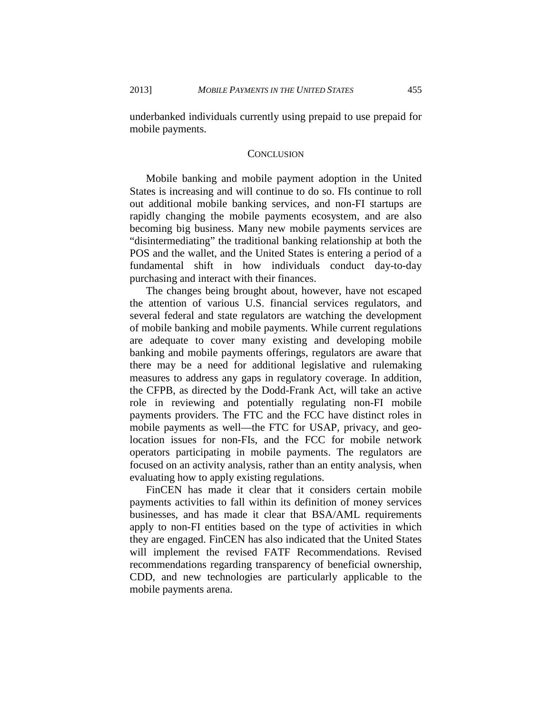underbanked individuals currently using prepaid to use prepaid for mobile payments.

#### **CONCLUSION**

<span id="page-37-0"></span>Mobile banking and mobile payment adoption in the United States is increasing and will continue to do so. FIs continue to roll out additional mobile banking services, and non-FI startups are rapidly changing the mobile payments ecosystem, and are also becoming big business. Many new mobile payments services are "disintermediating" the traditional banking relationship at both the POS and the wallet, and the United States is entering a period of a fundamental shift in how individuals conduct day-to-day purchasing and interact with their finances.

The changes being brought about, however, have not escaped the attention of various U.S. financial services regulators, and several federal and state regulators are watching the development of mobile banking and mobile payments. While current regulations are adequate to cover many existing and developing mobile banking and mobile payments offerings, regulators are aware that there may be a need for additional legislative and rulemaking measures to address any gaps in regulatory coverage. In addition, the CFPB, as directed by the Dodd-Frank Act, will take an active role in reviewing and potentially regulating non-FI mobile payments providers. The FTC and the FCC have distinct roles in mobile payments as well—the FTC for USAP, privacy, and geolocation issues for non-FIs, and the FCC for mobile network operators participating in mobile payments. The regulators are focused on an activity analysis, rather than an entity analysis, when evaluating how to apply existing regulations.

FinCEN has made it clear that it considers certain mobile payments activities to fall within its definition of money services businesses, and has made it clear that BSA/AML requirements apply to non-FI entities based on the type of activities in which they are engaged. FinCEN has also indicated that the United States will implement the revised FATF Recommendations. Revised recommendations regarding transparency of beneficial ownership, CDD, and new technologies are particularly applicable to the mobile payments arena.